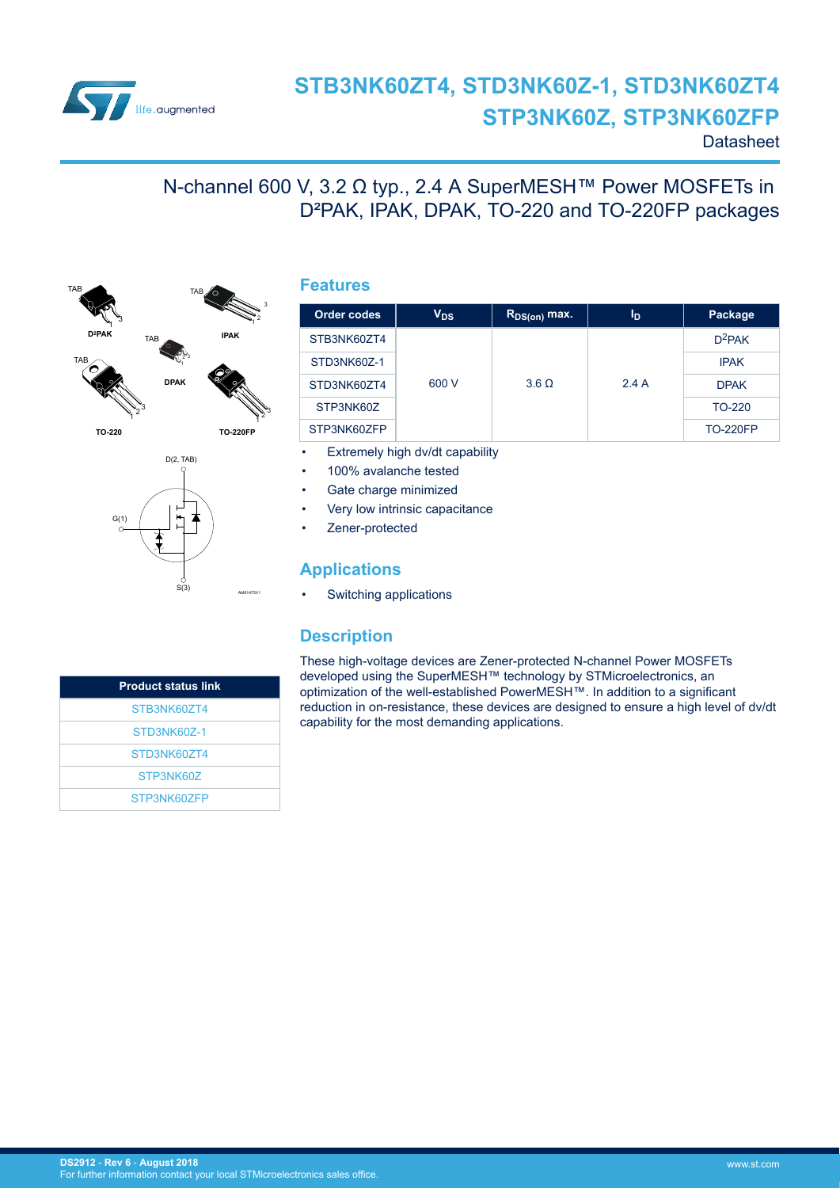

# **STB3NK60ZT4, STD3NK60Z-1, STD3NK60ZT4 STP3NK60Z, STP3NK60ZFP**

**Order codes V**<sub>DS</sub> **R**<sub>DS(on)</sub> max. | I<sub>D</sub> | Package

**Datasheet** 

 $D^2$ PAK

## N-channel 600 V, 3.2 Ω typ., 2.4 A SuperMESH™ Power MOSFETs in D²PAK, IPAK, DPAK, TO-220 and TO-220FP packages



D<sub>(2</sub>, TAB)

S(3)

AM01475V1

1

**TO-220**

G(1)

1 2 3 **TO-220F** 600 V 3.6  $\Omega$  2.4 A STD3NK60Z-1 IPAK  $STD3NK60ZT4$  600 V 3.6  $\Omega$  2.4 A DPAK STP3NK60Z CONTROLLER TO-220 STP3NK60ZFP STP3NK60ZFP STP3NK60ZFP STP3NK60ZFP Extremely high dv/dt capability • 100% avalanche tested Gate charge minimized

• Very low intrinsic capacitance

Zener-protected

#### **Applications**

Switching applications

### **Description**

These high-voltage devices are Zener-protected N-channel Power MOSFETs developed using the SuperMESH™ technology by STMicroelectronics, an optimization of the well-established PowerMESH™. In addition to a significant reduction in on-resistance, these devices are designed to ensure a high level of dv/dt capability for the most demanding applications.

| <b>Product status link</b> |
|----------------------------|
| STB3NK60ZT4                |
| STD3NK60Z-1                |
| STD3NK607T4                |
| STP3NK607                  |
| STP3NK607FP                |

### **Features**

STB3NK60ZT4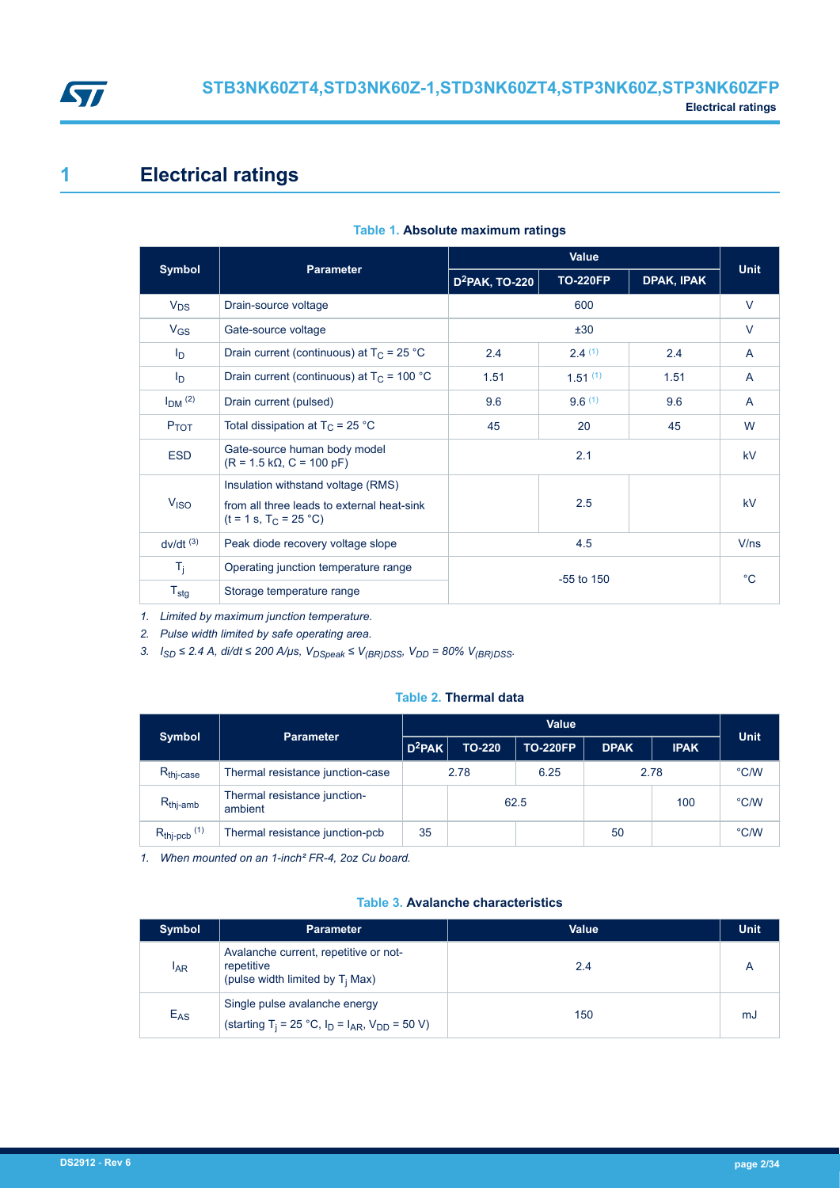<span id="page-1-0"></span>

## **1 Electrical ratings**

|                        |                                                                                                              | Value             |                 |              |              |
|------------------------|--------------------------------------------------------------------------------------------------------------|-------------------|-----------------|--------------|--------------|
| <b>Symbol</b>          | <b>Parameter</b>                                                                                             | $D^2$ PAK, TO-220 | <b>TO-220FP</b> | DPAK, IPAK   | <b>Unit</b>  |
| $V_{DS}$               | Drain-source voltage                                                                                         |                   | 600             |              | $\vee$       |
| $V_{GS}$               | Gate-source voltage                                                                                          |                   | ±30             |              | $\vee$       |
| $I_{\text{D}}$         | Drain current (continuous) at $T_C = 25 °C$                                                                  | 2.4               | 2.4(1)          | 2.4          | $\mathsf{A}$ |
| I <sub>D</sub>         | Drain current (continuous) at $T_c$ = 100 °C                                                                 | 1.51              | $1.51^{(1)}$    | 1.51         | A            |
| $IDM$ (2)              | Drain current (pulsed)                                                                                       | 9.6               | 9.6(1)          | 9.6          | A            |
| <b>P</b> TOT           | Total dissipation at $T_C = 25 °C$                                                                           | 45                | 20              | 45           | W            |
| <b>ESD</b>             | Gate-source human body model<br>$(R = 1.5 k\Omega, C = 100 pF)$                                              | 2.1               |                 |              | <b>kV</b>    |
| V <sub>ISO</sub>       | Insulation withstand voltage (RMS)<br>from all three leads to external heat-sink<br>$(t = 1 s, T_C = 25 °C)$ |                   | 2.5             |              | <b>kV</b>    |
| $dv/dt$ <sup>(3)</sup> | Peak diode recovery voltage slope                                                                            | 4.5               |                 |              | V/ns         |
| $T_i$                  | Operating junction temperature range                                                                         |                   |                 | $^{\circ}$ C |              |
| $T_{\text{stg}}$       | Storage temperature range                                                                                    |                   | $-55$ to $150$  |              |              |

#### **Table 1. Absolute maximum ratings**

*1. Limited by maximum junction temperature.*

*2. Pulse width limited by safe operating area.*

*3. ISD ≤ 2.4 A, di/dt ≤ 200 A/μs, VDSpeak ≤ V(BR)DSS, VDD = 80% V(BR)DSS.*

#### **Table 2. Thermal data**

|                              | <b>Parameter</b>                        | <b>Value</b> |               |                 |             |             |               |
|------------------------------|-----------------------------------------|--------------|---------------|-----------------|-------------|-------------|---------------|
| <b>Symbol</b>                |                                         | $D^2$ PAK    | <b>TO-220</b> | <b>TO-220FP</b> | <b>DPAK</b> | <b>IPAK</b> | <b>Unit</b>   |
| $R_{\text{thi-case}}$        | Thermal resistance junction-case        | 2.78         |               | 6.25            | 2.78        |             | °C/W          |
| $R_{\text{thi-amb}}$         | Thermal resistance junction-<br>ambient |              | 62.5          |                 |             | 100         | $\degree$ C/W |
| $R_{thj-pcb}$ <sup>(1)</sup> | Thermal resistance junction-pcb         | 35           |               |                 | 50          |             | °C/W          |

*1. When mounted on an 1-inch² FR-4, 2oz Cu board.*

#### **Table 3. Avalanche characteristics**

| Symbol          | <b>Parameter</b>                                                                                     | <b>Value</b> | <b>Unit</b> |
|-----------------|------------------------------------------------------------------------------------------------------|--------------|-------------|
| <sup>I</sup> AR | Avalanche current, repetitive or not-<br>repetitive<br>(pulse width limited by $T_i$ Max)            | 2.4          |             |
| $E_{AS}$        | Single pulse avalanche energy<br>(starting T <sub>i</sub> = 25 °C, $I_D = I_{AR}$ , $V_{DD} = 50$ V) | 150          | mJ          |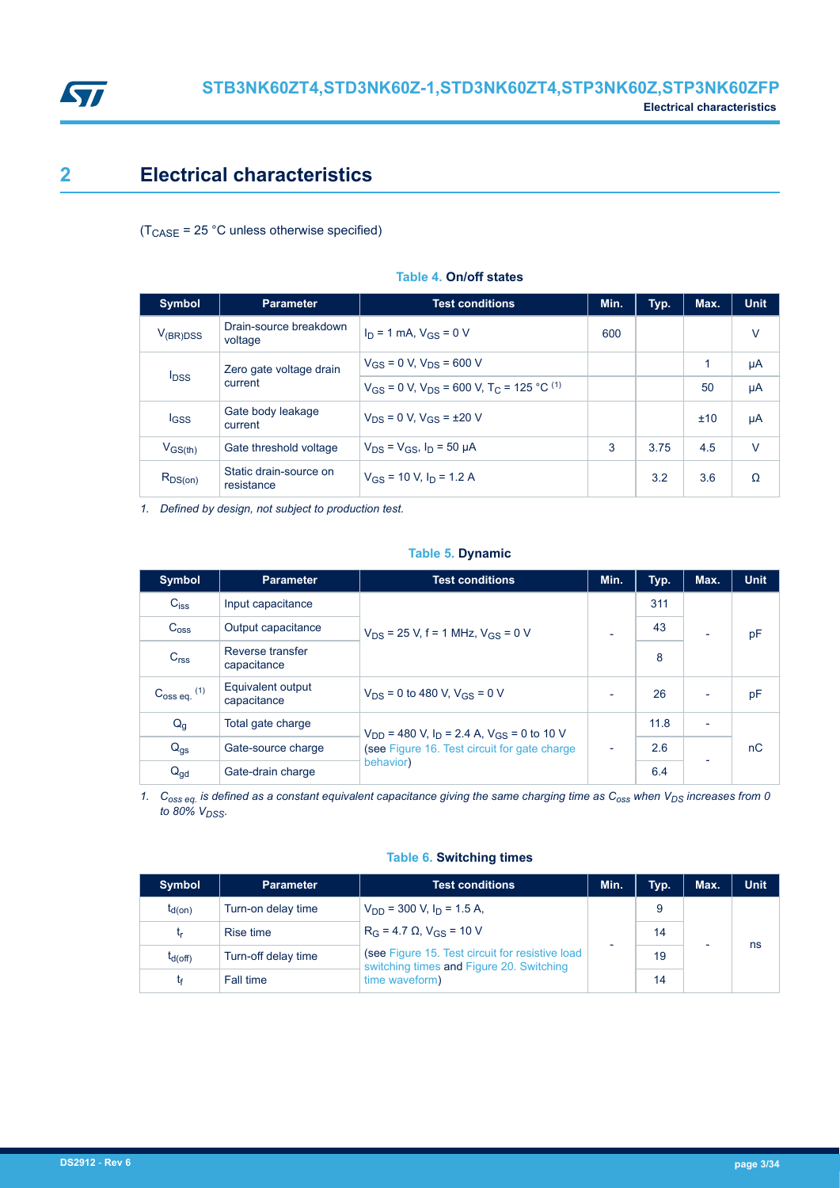<span id="page-2-0"></span>

## **2 Electrical characteristics**

 $(T_{\text{CASE}} = 25 \text{ °C}$  unless otherwise specified)

| <b>Symbol</b>           | <b>Parameter</b>                     | <b>Test conditions</b>                                                   | Min. | Typ. | Max. | <b>Unit</b> |
|-------------------------|--------------------------------------|--------------------------------------------------------------------------|------|------|------|-------------|
| $V_{(BR)DSS}$           | Drain-source breakdown<br>voltage    | $I_D = 1$ mA, $V_{GS} = 0$ V                                             | 600  |      |      | $\vee$      |
|                         | Zero gate voltage drain              | $V_{GS}$ = 0 V, $V_{DS}$ = 600 V                                         |      |      | 1    | μA          |
| <b>I</b> <sub>DSS</sub> | current                              | $V_{GS}$ = 0 V, $V_{DS}$ = 600 V, T <sub>C</sub> = 125 °C <sup>(1)</sup> |      |      | 50   | μA          |
| lgss                    | Gate body leakage<br>current         | $V_{DS} = 0$ V, $V_{GS} = \pm 20$ V                                      |      |      | ±10  | μA          |
| $V_{GS(th)}$            | Gate threshold voltage               | $V_{DS} = V_{GS}$ , $I_D = 50 \mu A$                                     | 3    | 3.75 | 4.5  | $\vee$      |
| $R_{DS(on)}$            | Static drain-source on<br>resistance | $V_{GS}$ = 10 V, $I_D$ = 1.2 A                                           |      | 3.2  | 3.6  | $\Omega$    |

#### **Table 4. On/off states**

*1. Defined by design, not subject to production test.*

#### **Table 5. Dynamic**

| <b>Symbol</b>           | <b>Parameter</b>                 | <b>Test conditions</b>                                                | Min.                     | Typ. | Max.                     | <b>Unit</b> |
|-------------------------|----------------------------------|-----------------------------------------------------------------------|--------------------------|------|--------------------------|-------------|
| $C_{iss}$               | Input capacitance                |                                                                       |                          | 311  |                          |             |
| $C_{\text{OSS}}$        | Output capacitance               | $V_{DS}$ = 25 V, f = 1 MHz, $V_{GS}$ = 0 V                            |                          | 43   |                          | pF          |
| C <sub>rss</sub>        | Reverse transfer<br>capacitance  |                                                                       |                          | 8    |                          |             |
| $C_{\rm 0SS}$ eq. $(1)$ | Equivalent output<br>capacitance | $V_{DS}$ = 0 to 480 V, $V_{GS}$ = 0 V                                 | $\overline{\phantom{0}}$ | 26   | $\overline{\phantom{0}}$ | pF          |
| Q <sub>g</sub>          | Total gate charge                | $V_{DD}$ = 480 V, I <sub>D</sub> = 2.4 A, V <sub>GS</sub> = 0 to 10 V |                          | 11.8 | $\overline{\phantom{0}}$ |             |
| $Q_{gs}$                | Gate-source charge               | (see Figure 16. Test circuit for gate charge                          | -                        | 2.6  |                          | nC          |
| $Q_{gd}$                | Gate-drain charge                | behavior)                                                             |                          | 6.4  |                          |             |

*1. Coss eq. is defined as a constant equivalent capacitance giving the same charging time as Coss when VDS increases from 0 to 80% VDSS.*

#### **Table 6. Switching times**

| <b>Symbol</b> | <b>Parameter</b>    | <b>Test conditions</b>                                                                      | Min. | Typ. | Max. | <b>Unit</b> |  |  |
|---------------|---------------------|---------------------------------------------------------------------------------------------|------|------|------|-------------|--|--|
| $t_{d(on)}$   | Turn-on delay time  | $V_{DD}$ = 300 V, $I_D$ = 1.5 A,                                                            |      | 9    |      |             |  |  |
| t,            | Rise time           | $R_G = 4.7 \Omega$ , $V_{GS} = 10 V$                                                        |      |      |      | 14          |  |  |
| $t_{d(Off)}$  | Turn-off delay time | (see Figure 15. Test circuit for resistive load<br>switching times and Figure 20. Switching |      | 19   |      | ns          |  |  |
|               | Fall time           | time waveform)                                                                              |      | 14   |      |             |  |  |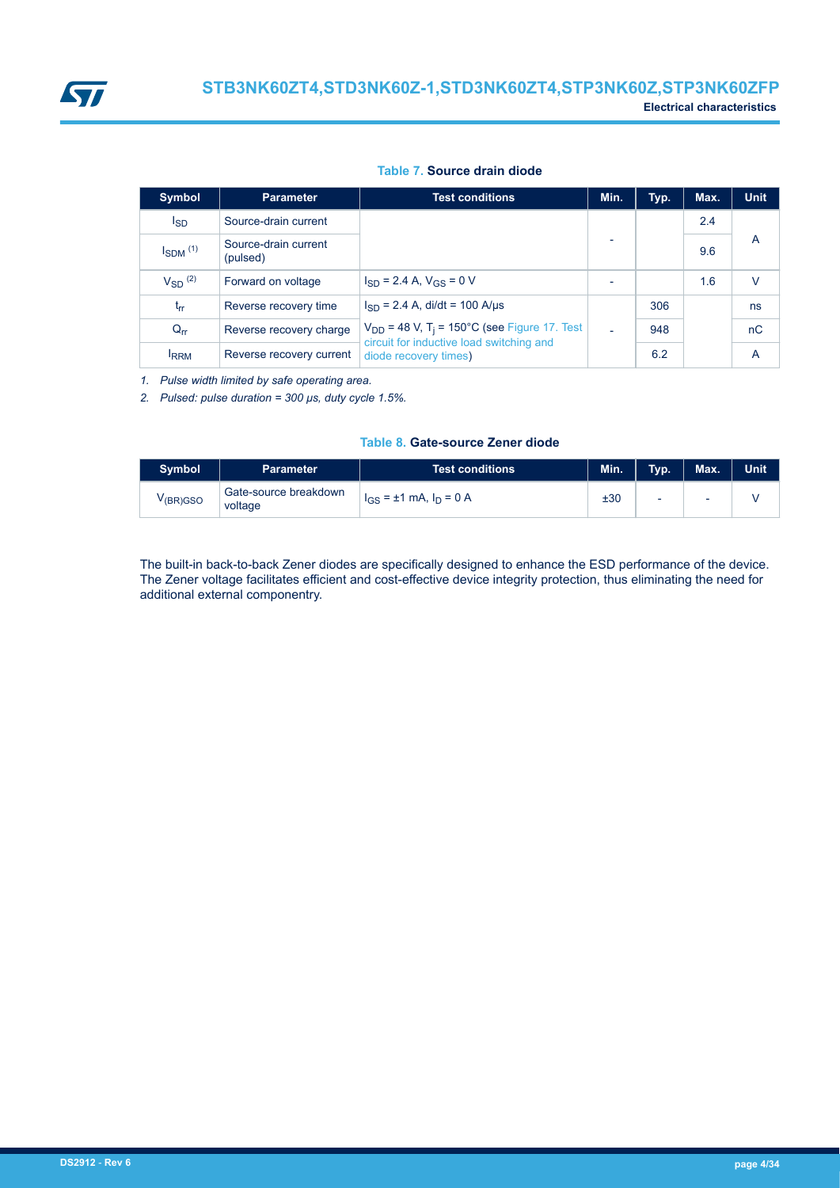#### **Table 7. Source drain diode**

| Symbol          | <b>Parameter</b>                 | <b>Test conditions</b>                                                                                   | Min. | Typ. | Max. | <b>Unit</b> |
|-----------------|----------------------------------|----------------------------------------------------------------------------------------------------------|------|------|------|-------------|
| I <sub>SD</sub> | Source-drain current             |                                                                                                          |      |      | 2.4  |             |
| $I_{SDM}$ $(1)$ | Source-drain current<br>(pulsed) |                                                                                                          |      |      | 9.6  | A           |
| $V_{SD}$ (2)    | Forward on voltage               | $I_{SD}$ = 2.4 A, $V_{GS}$ = 0 V                                                                         |      |      | 1.6  | $\vee$      |
| $t_{rr}$        | Reverse recovery time            | $I_{SD}$ = 2.4 A, di/dt = 100 A/µs                                                                       |      | 306  |      | ns          |
| $Q_{rr}$        | Reverse recovery charge          | $V_{DD}$ = 48 V, T <sub>i</sub> = 150°C (see Figure 17. Test<br>circuit for inductive load switching and |      | 948  |      | nC          |
| <b>IRRM</b>     | Reverse recovery current         | diode recovery times)                                                                                    |      | 6.2  |      | A           |

*1. Pulse width limited by safe operating area.*

*2. Pulsed: pulse duration = 300 μs, duty cycle 1.5%.*

#### **Table 8. Gate-source Zener diode**

| <b>Symbol</b>         | <b>Parameter</b>                 | <b>Test conditions</b>           | Min. | Typ. | Max. | <b>Unit</b> |
|-----------------------|----------------------------------|----------------------------------|------|------|------|-------------|
| V <sub>(BR)</sub> GSO | Gate-source breakdown<br>voltage | $I_{GS} = \pm 1$ mA, $I_D = 0$ A | ±30  | ۰    | ۰    |             |

The built-in back-to-back Zener diodes are specifically designed to enhance the ESD performance of the device. The Zener voltage facilitates efficient and cost-effective device integrity protection, thus eliminating the need for additional external componentry.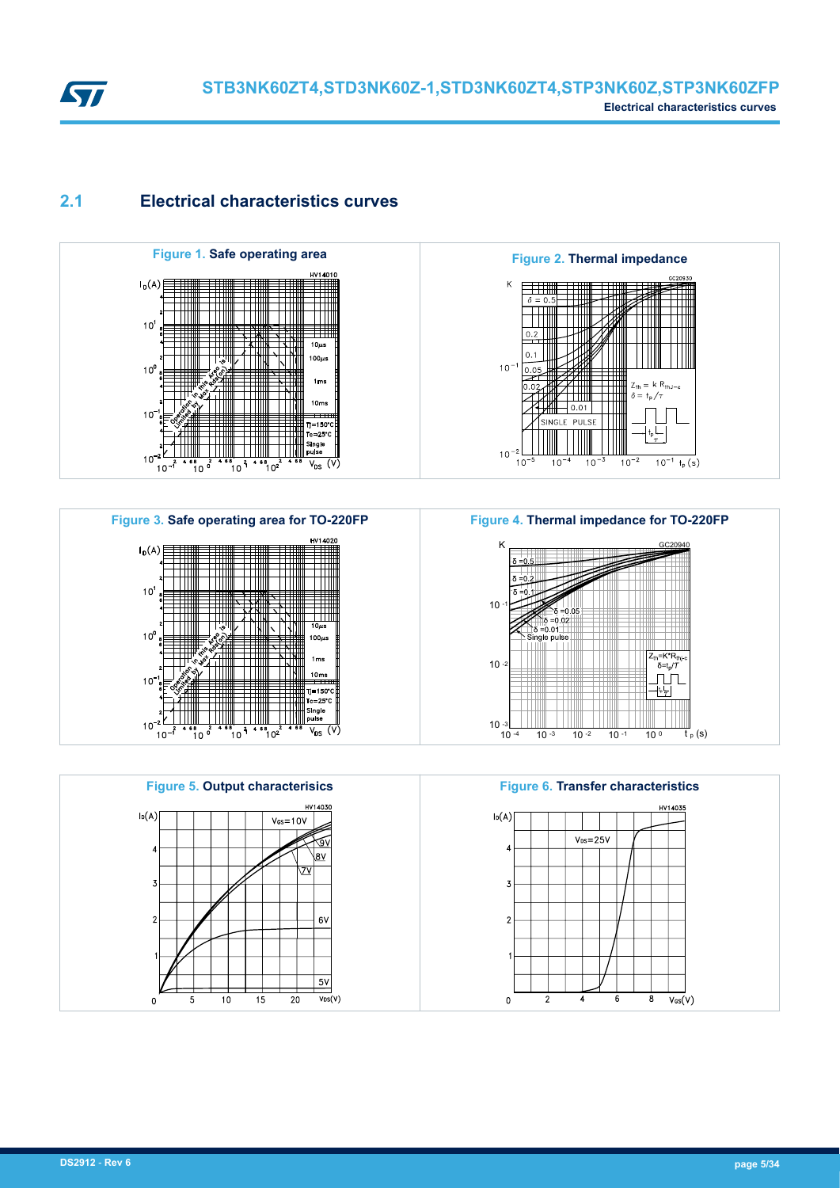<span id="page-4-0"></span>

### **2.1 Electrical characteristics curves**









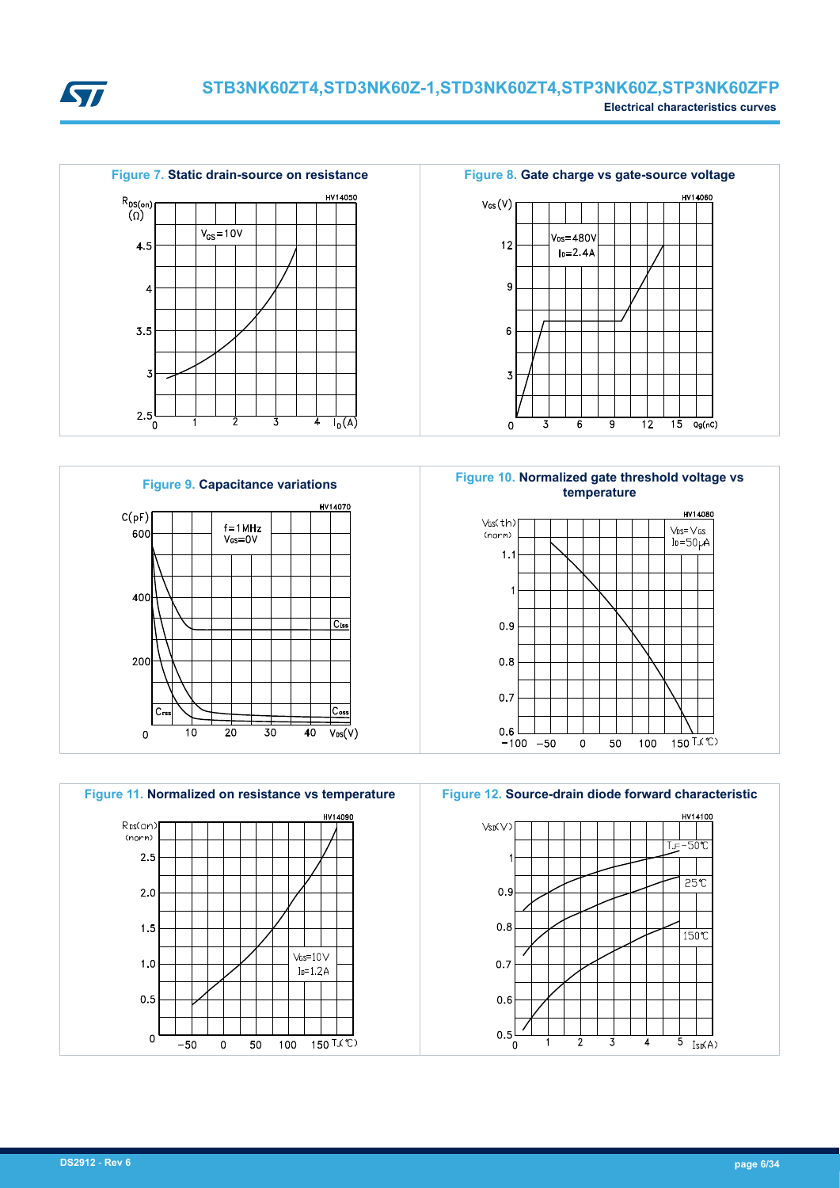



HV14070  $C(pF)$  $f = 1$ MHz





**Figure 9. Capacitance variations Figure 10. Normalized gate threshold voltage vs temperature**





3

4

 $\overline{5 \text{ Isp(A)}}$ 

 $\overline{2}$ 

`٥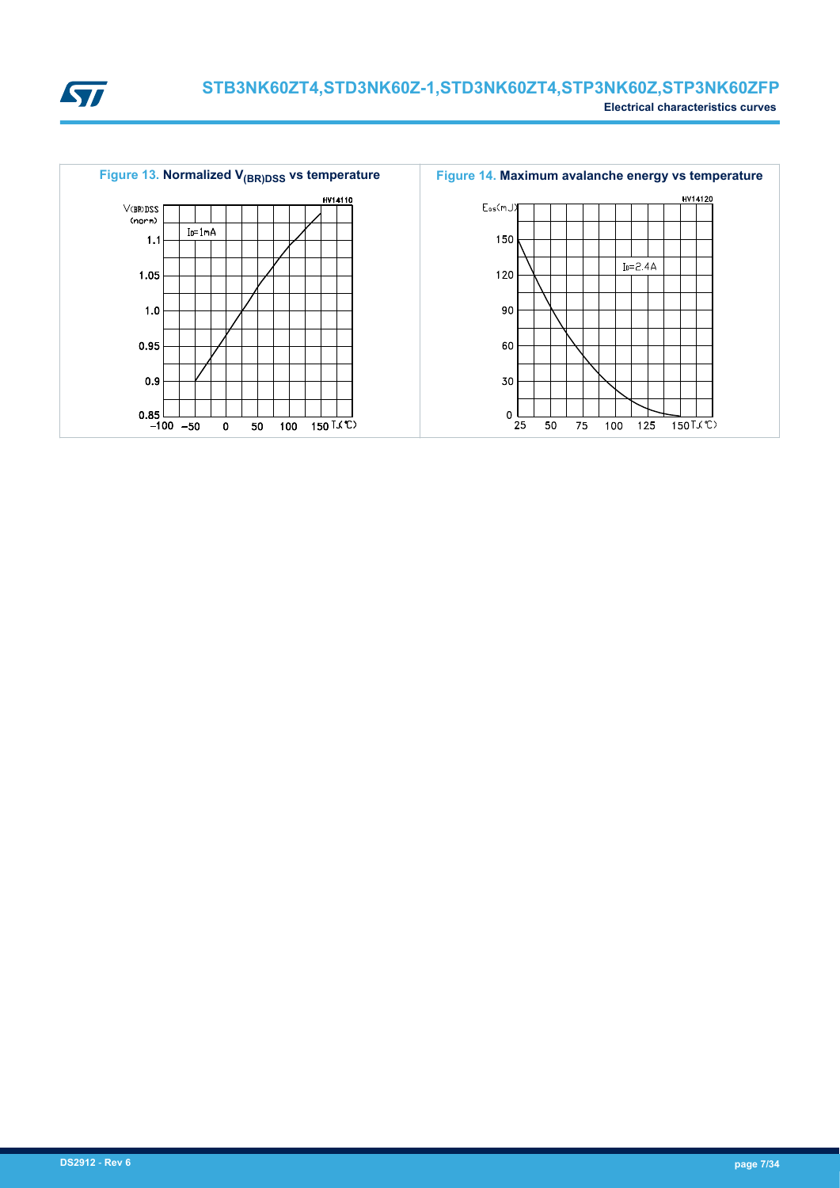

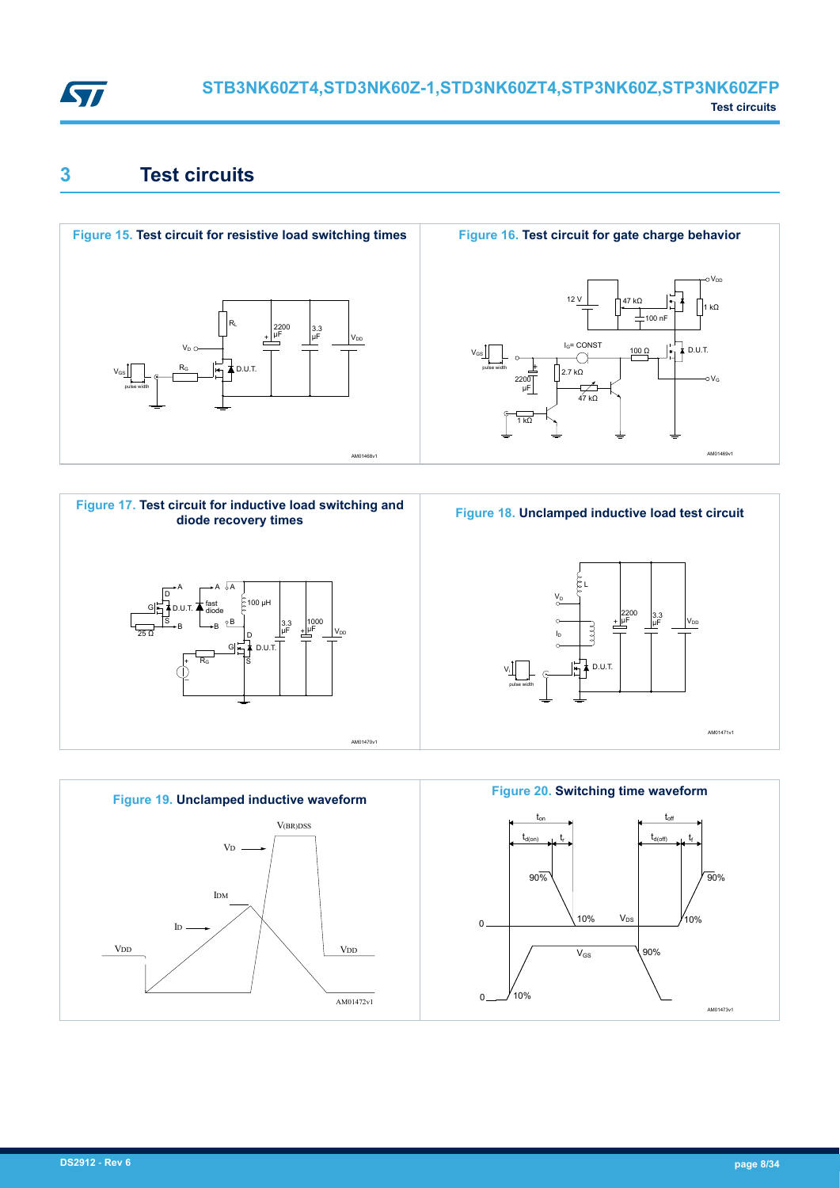<span id="page-7-0"></span>

## **3 Test circuits**











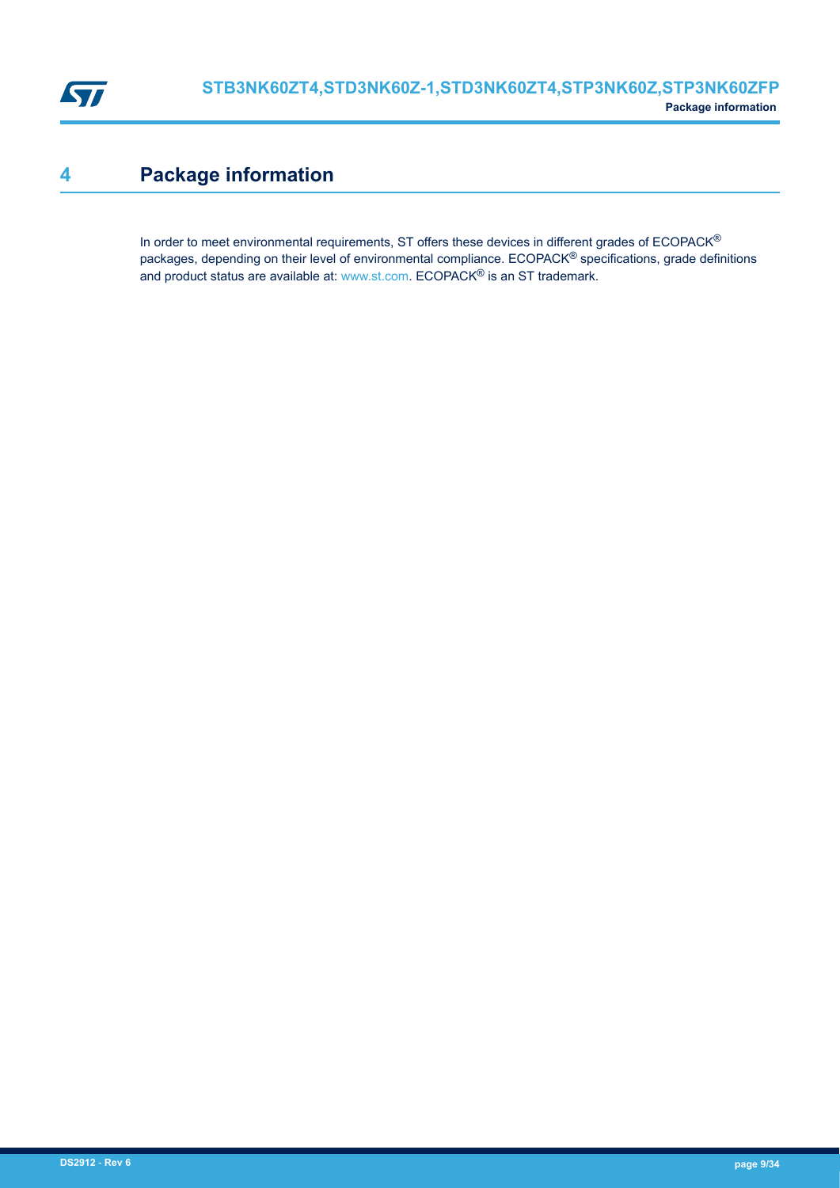<span id="page-8-0"></span>

## **4 Package information**

In order to meet environmental requirements, ST offers these devices in different grades of ECOPACK® packages, depending on their level of environmental compliance. ECOPACK® specifications, grade definitions and product status are available at: [www.st.com.](http://www.st.com) ECOPACK® is an ST trademark.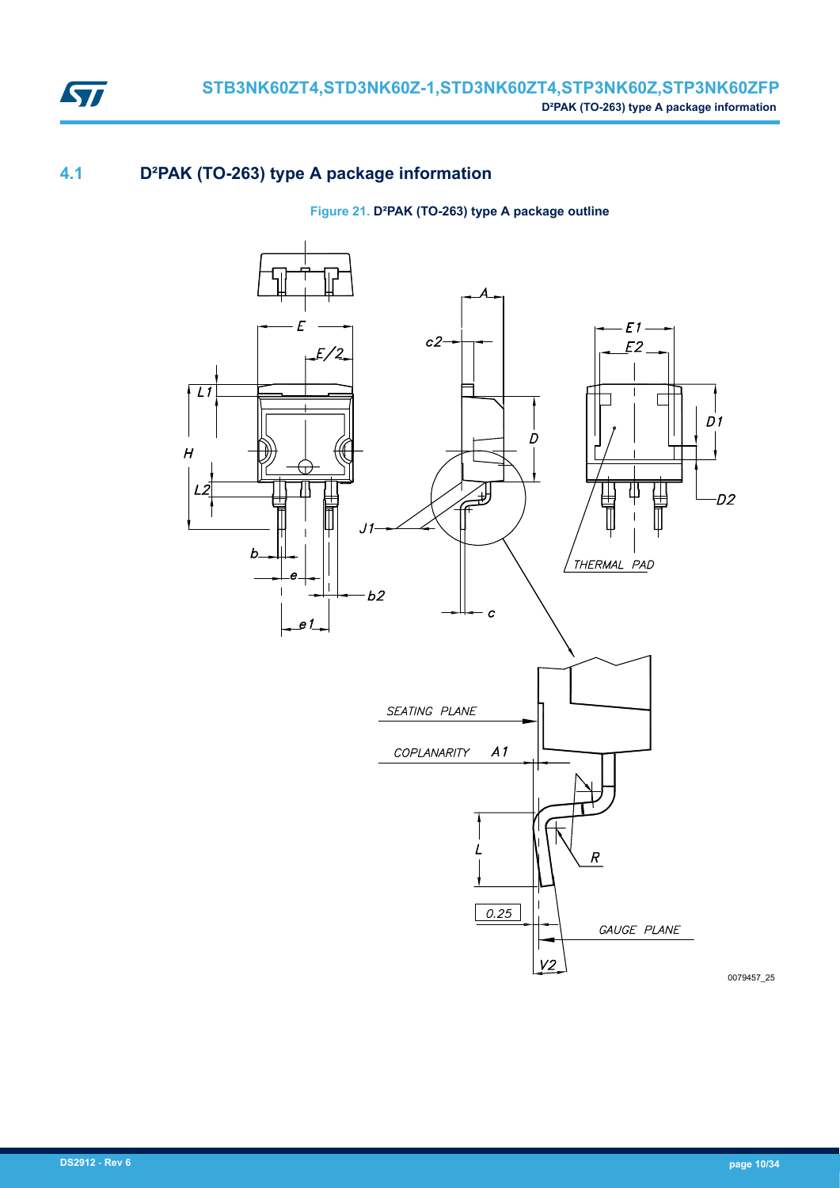

## **4.1 D²PAK (TO-263) type A package information**

#### **Figure 21. D²PAK (TO-263) type A package outline**

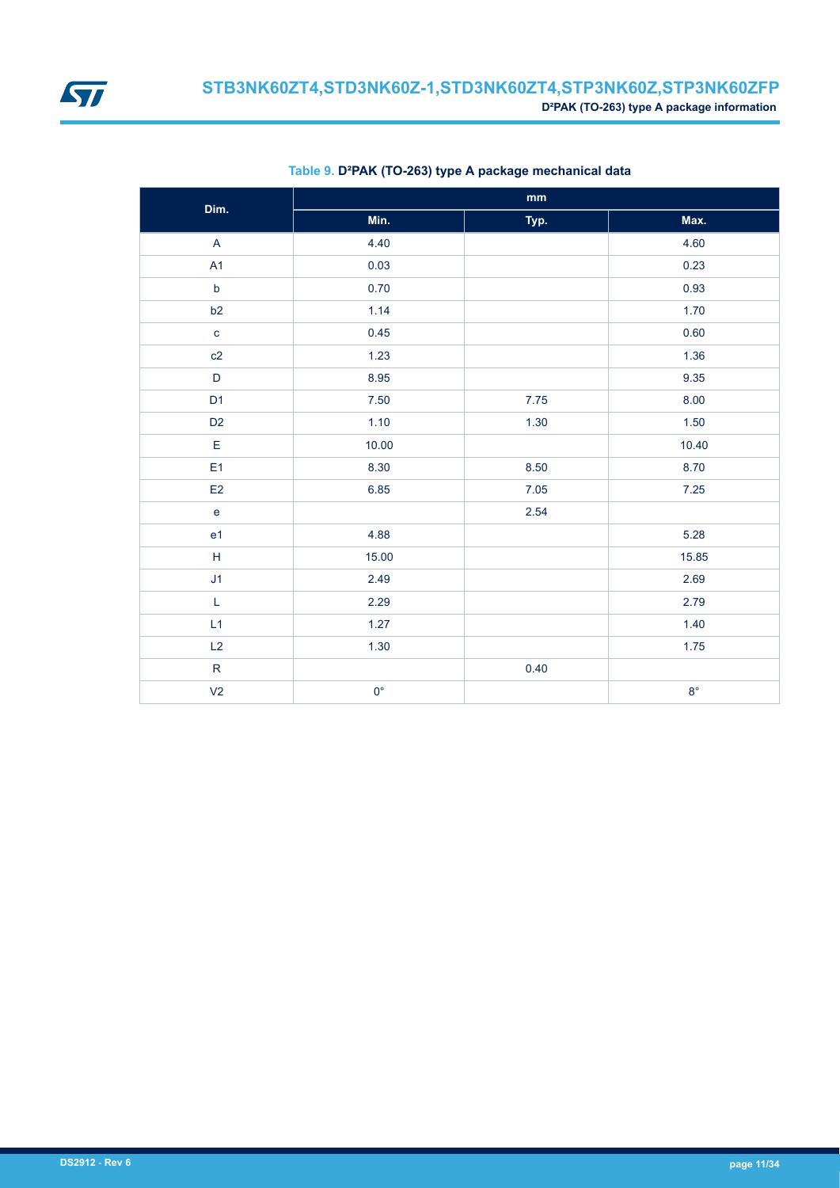

| Dim.                              | $\mathop{\text{mm}}\nolimits$ |      |             |  |  |  |
|-----------------------------------|-------------------------------|------|-------------|--|--|--|
|                                   | Min.                          | Typ. | Max.        |  |  |  |
| $\boldsymbol{\mathsf{A}}$         | 4.40                          |      | 4.60        |  |  |  |
| A1                                | 0.03                          |      | 0.23        |  |  |  |
| $\mathsf b$                       | 0.70                          |      | 0.93        |  |  |  |
| b2                                | 1.14                          |      | 1.70        |  |  |  |
| $\mathbf{C}$                      | 0.45                          |      | 0.60        |  |  |  |
| c2                                | 1.23                          |      | 1.36        |  |  |  |
| $\mathsf D$                       | 8.95                          |      | 9.35        |  |  |  |
| D <sub>1</sub>                    | 7.50                          | 7.75 | 8.00        |  |  |  |
| D <sub>2</sub>                    | 1.10                          | 1.30 | 1.50        |  |  |  |
| E                                 | 10.00                         |      | 10.40       |  |  |  |
| E <sub>1</sub>                    | 8.30                          | 8.50 | 8.70        |  |  |  |
| E2                                | 6.85                          | 7.05 | 7.25        |  |  |  |
| $\mathsf{e}% _{t}\left( t\right)$ |                               | 2.54 |             |  |  |  |
| e <sub>1</sub>                    | 4.88                          |      | 5.28        |  |  |  |
| $\mathsf H$                       | 15.00                         |      | 15.85       |  |  |  |
| J1                                | 2.49                          |      | 2.69        |  |  |  |
| L                                 | 2.29                          |      | 2.79        |  |  |  |
| L1                                | 1.27                          |      | 1.40        |  |  |  |
| L2                                | 1.30                          |      | 1.75        |  |  |  |
| ${\sf R}$                         |                               | 0.40 |             |  |  |  |
| V <sub>2</sub>                    | $0^{\circ}$                   |      | $8^{\circ}$ |  |  |  |

#### **Table 9. D²PAK (TO-263) type A package mechanical data**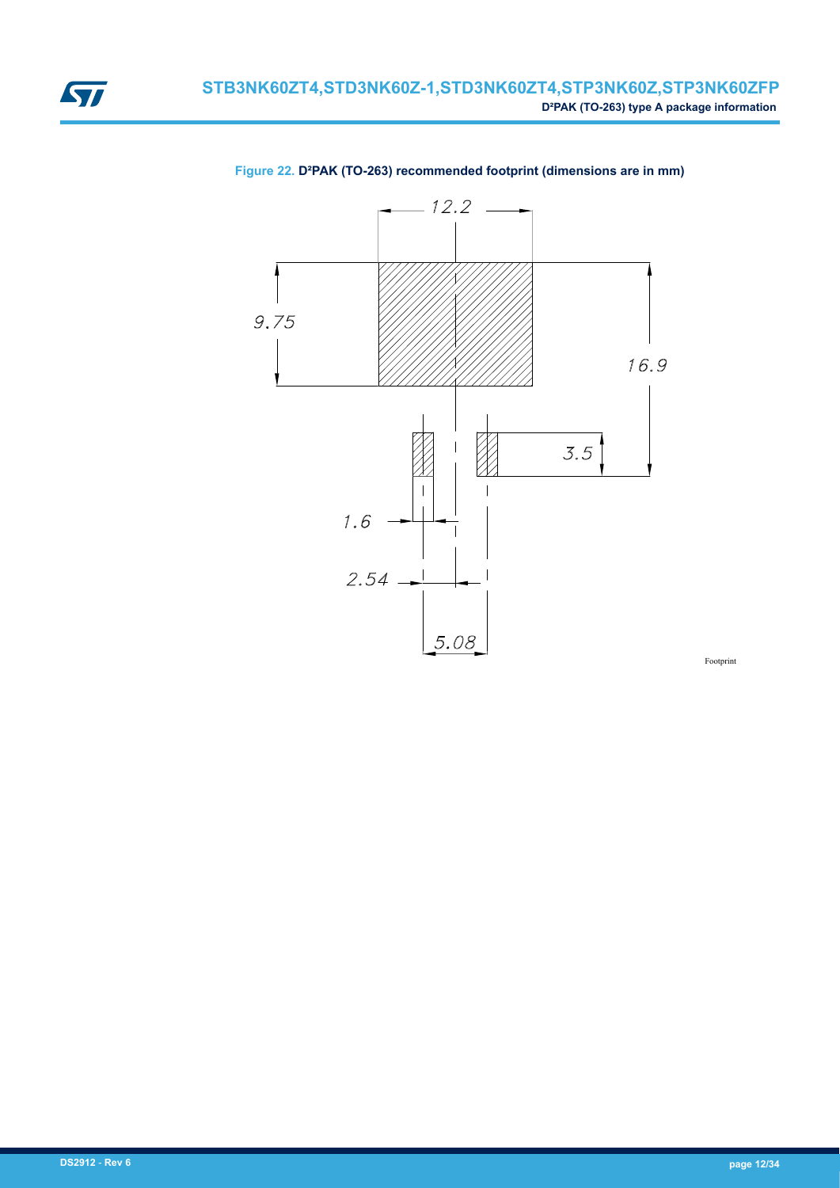





Footprint

<span id="page-11-0"></span>ST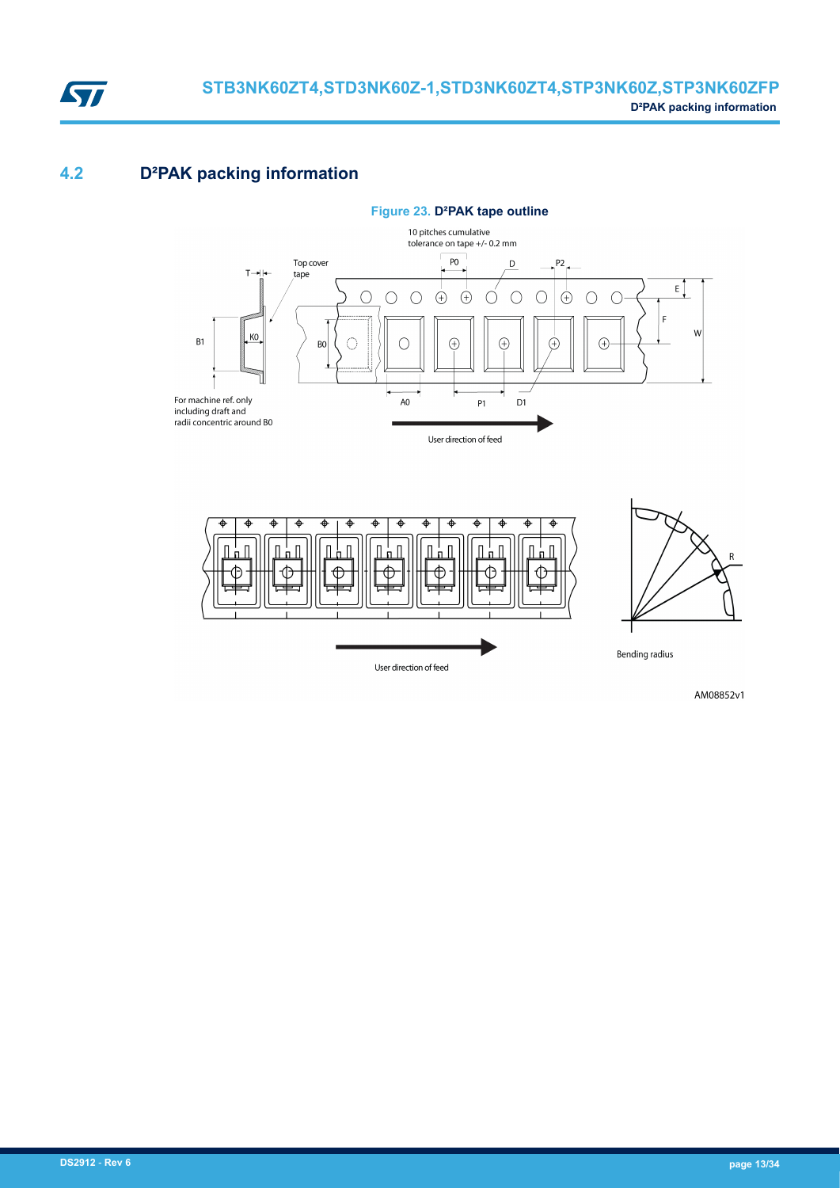

## **4.2 D²PAK packing information**





AM08852v1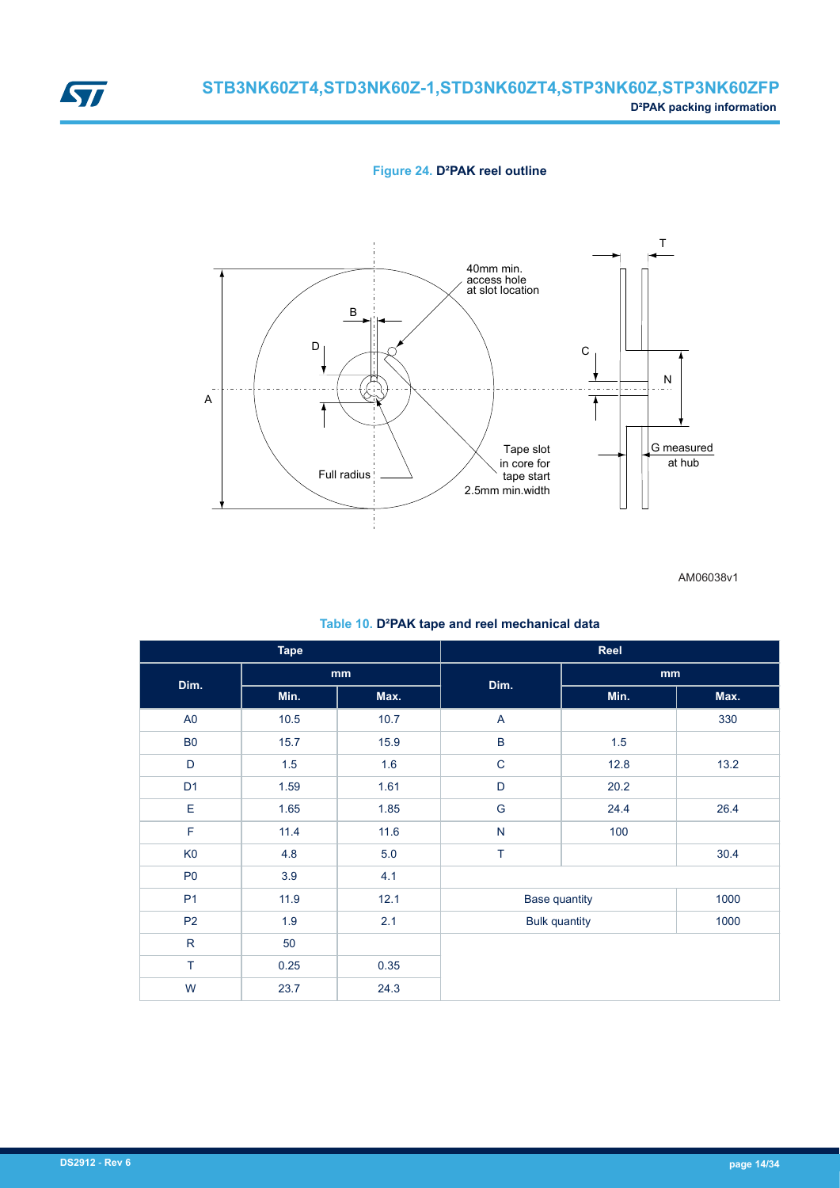#### **Figure 24. D²PAK reel outline**



AM06038v1

#### **Table 10. D²PAK tape and reel mechanical data**

| <b>Tape</b>    |      |      | Reel                 |      |      |  |
|----------------|------|------|----------------------|------|------|--|
| Dim.           |      | mm   | Dim.                 | mm   |      |  |
|                | Min. | Max. |                      | Min. | Max. |  |
| A <sub>0</sub> | 10.5 | 10.7 | A                    |      | 330  |  |
| <b>B0</b>      | 15.7 | 15.9 | $\sf B$              | 1.5  |      |  |
| D              | 1.5  | 1.6  | $\mathsf C$          | 12.8 | 13.2 |  |
| D <sub>1</sub> | 1.59 | 1.61 | $\mathsf{D}%$        | 20.2 |      |  |
| E              | 1.65 | 1.85 | ${\mathsf G}$        | 24.4 | 26.4 |  |
| F              | 11.4 | 11.6 | ${\sf N}$            | 100  |      |  |
| K <sub>0</sub> | 4.8  | 5.0  | T                    |      | 30.4 |  |
| P <sub>0</sub> | 3.9  | 4.1  |                      |      |      |  |
| P <sub>1</sub> | 11.9 | 12.1 | <b>Base quantity</b> |      | 1000 |  |
| P <sub>2</sub> | 1.9  | 2.1  | <b>Bulk quantity</b> |      | 1000 |  |
| ${\sf R}$      | 50   |      |                      |      |      |  |
| T              | 0.25 | 0.35 |                      |      |      |  |
| W              | 23.7 | 24.3 |                      |      |      |  |

<span id="page-13-0"></span>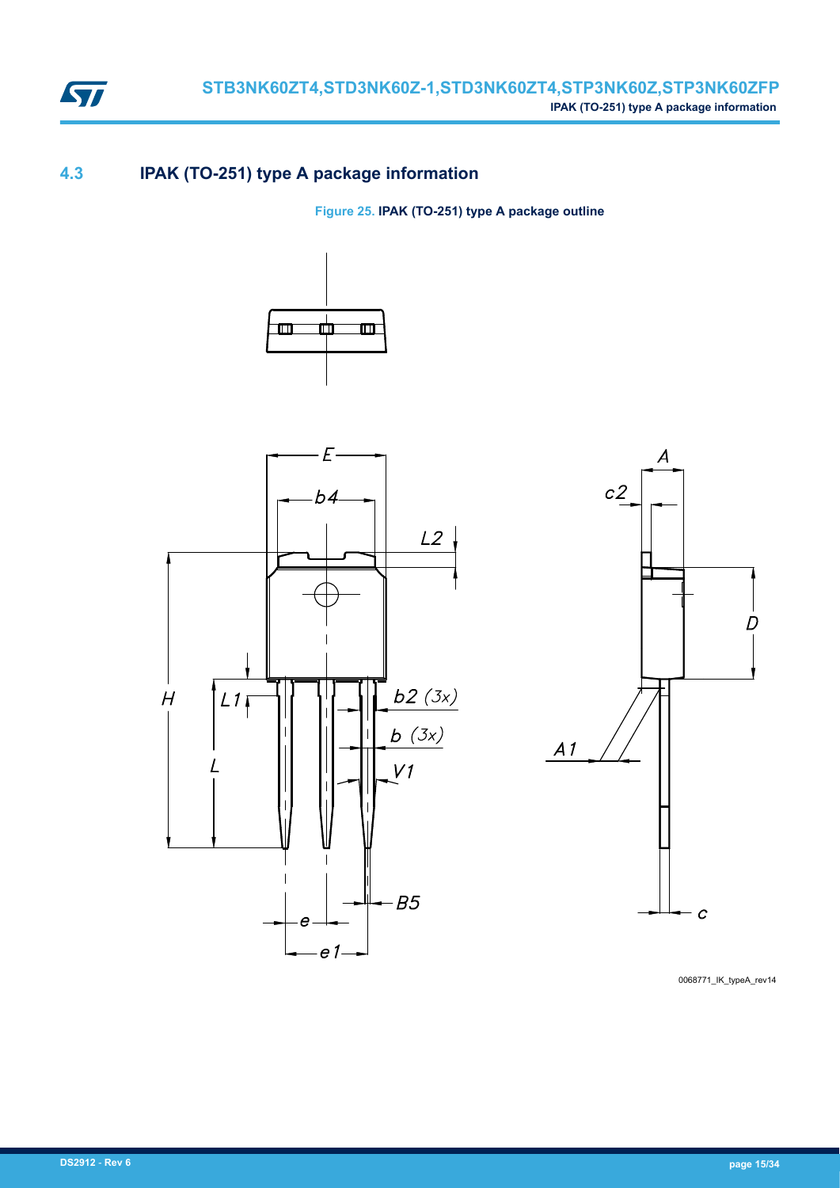

## **4.3 IPAK (TO-251) type A package information**

**Figure 25. IPAK (TO-251) type A package outline**







0068771\_IK\_typeA\_rev14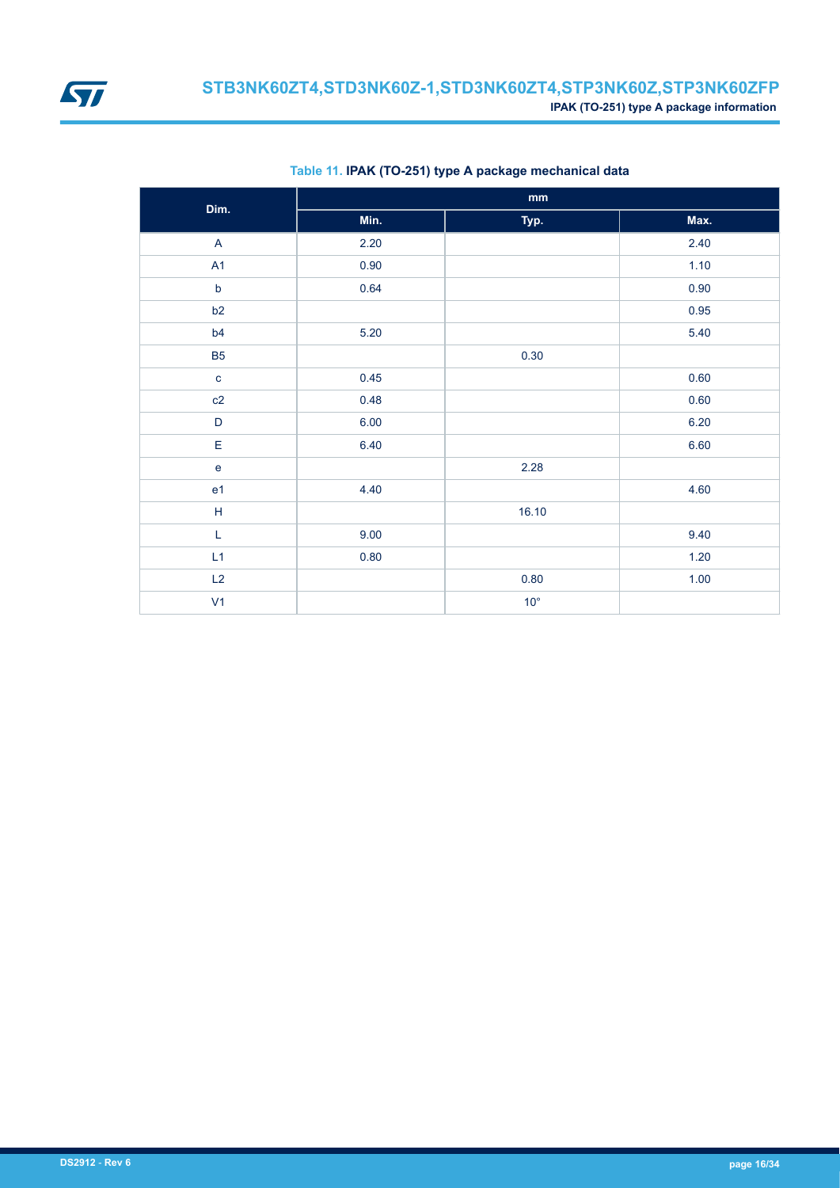<span id="page-15-0"></span>

| Dim.           |          | $\mathbf{mm}$ |        |
|----------------|----------|---------------|--------|
|                | Min.     | Typ.          | Max.   |
| $\overline{A}$ | 2.20     |               | 2.40   |
| A1             | 0.90     |               | 1.10   |
| $\mathsf b$    | 0.64     |               | 0.90   |
| b2             |          |               | 0.95   |
| b4             | 5.20     |               | 5.40   |
| <b>B5</b>      |          | 0.30          |        |
| $\mathbf c$    | 0.45     |               | 0.60   |
| c2             | 0.48     |               | 0.60   |
| D              | 6.00     |               | 6.20   |
| E              | 6.40     |               | 6.60   |
| $\mathbf e$    |          | 2.28          |        |
| e <sub>1</sub> | 4.40     |               | 4.60   |
| $\overline{H}$ |          | 16.10         |        |
| $\mathsf L$    | 9.00     |               | 9.40   |
| L1             | $0.80\,$ |               | 1.20   |
| L2             |          | 0.80          | $1.00$ |
| V <sub>1</sub> |          | $10^{\circ}$  |        |

#### **Table 11. IPAK (TO-251) type A package mechanical data**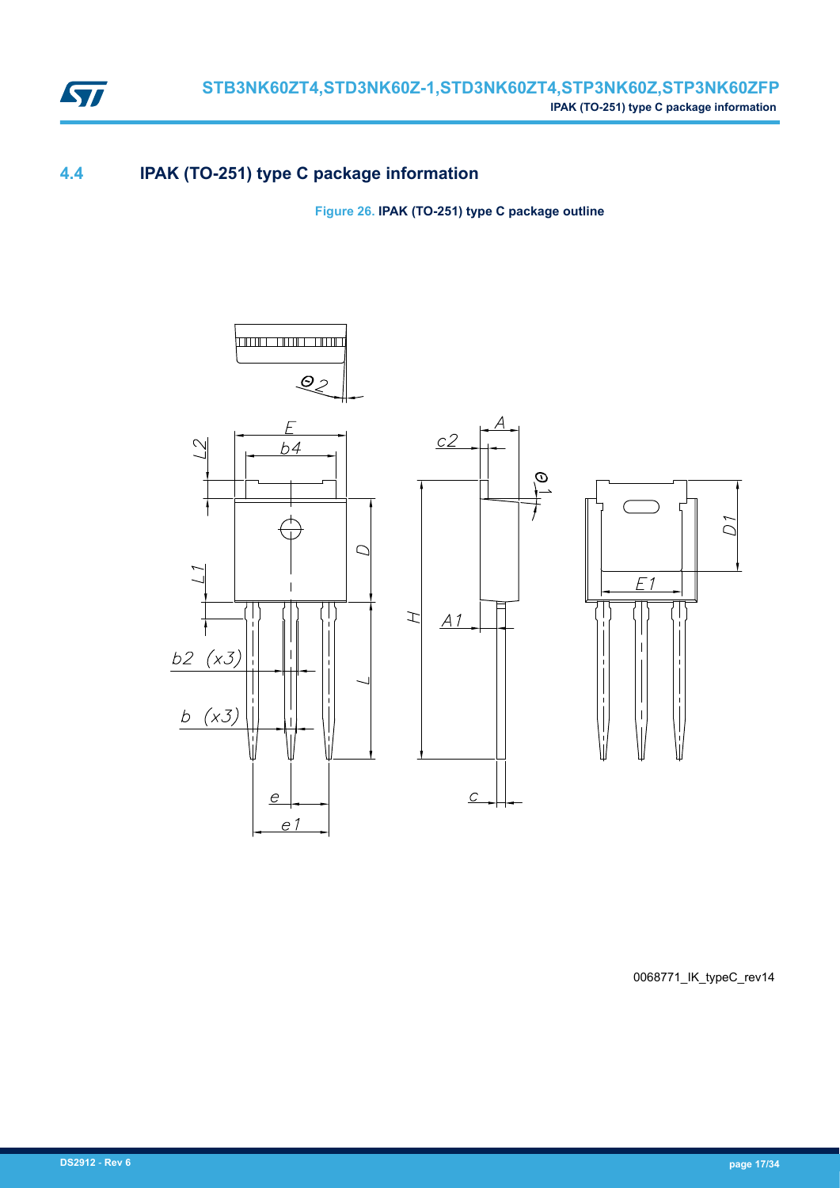

### **4.4 IPAK (TO-251) type C package information**

**Figure 26. IPAK (TO-251) type C package outline**



0068771\_IK\_typeC\_rev14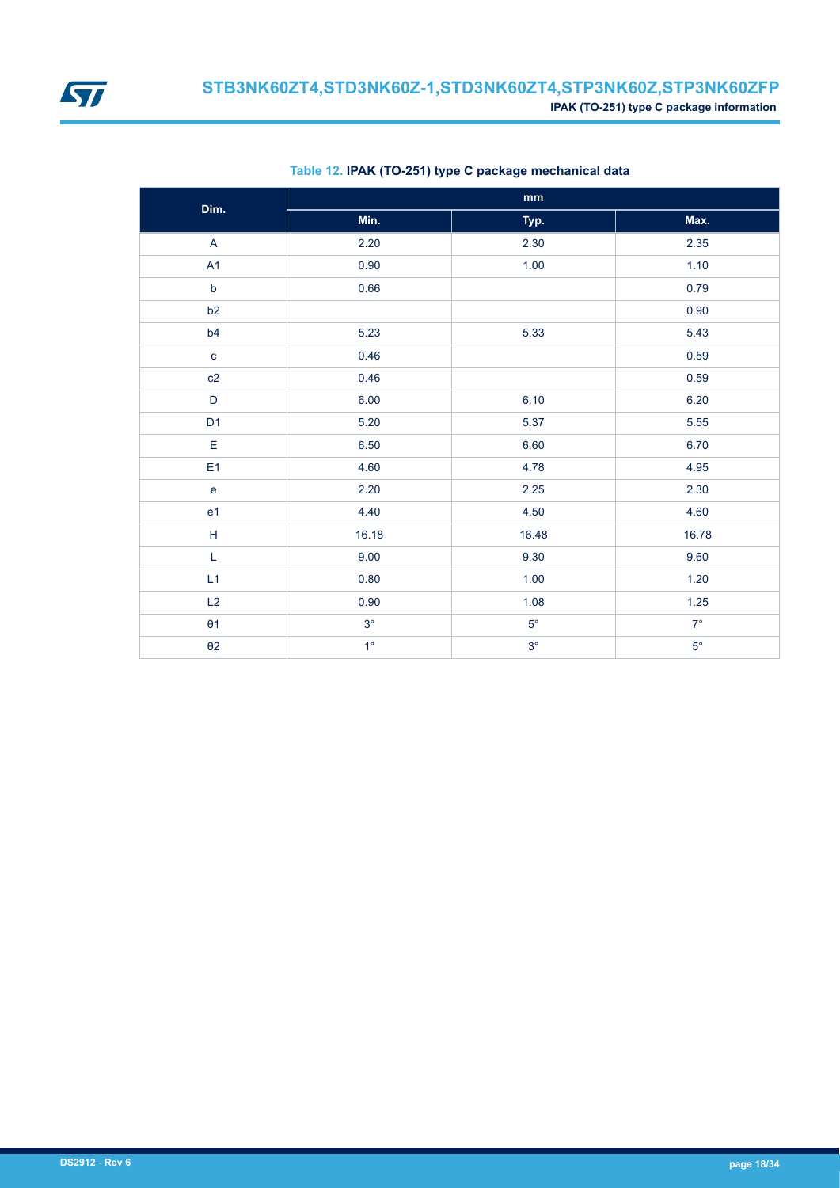<span id="page-17-0"></span>

| Dim.                      |             | $\mathop{\text{mm}}\nolimits$ |             |
|---------------------------|-------------|-------------------------------|-------------|
|                           | Min.        | Typ.                          | Max.        |
| $\boldsymbol{\mathsf{A}}$ | 2.20        | 2.30                          | 2.35        |
| A1                        | 0.90        | 1.00                          | 1.10        |
| $\mathsf b$               | 0.66        |                               | 0.79        |
| b2                        |             |                               | 0.90        |
| b4                        | 5.23        | 5.33                          | 5.43        |
| $\mathbf c$               | 0.46        |                               | 0.59        |
| c2                        | 0.46        |                               | 0.59        |
| D                         | 6.00        | 6.10                          | 6.20        |
| D <sub>1</sub>            | 5.20        | 5.37                          | 5.55        |
| E                         | 6.50        | 6.60                          | 6.70        |
| E <sub>1</sub>            | 4.60        | 4.78                          | 4.95        |
| $\mathbf e$               | 2.20        | 2.25                          | 2.30        |
| e <sub>1</sub>            | 4.40        | 4.50                          | 4.60        |
| $\overline{H}$            | 16.18       | 16.48                         | 16.78       |
| $\mathsf L$               | 9.00        | 9.30                          | 9.60        |
| L1                        | 0.80        | 1.00                          | 1.20        |
| L2                        | 0.90        | 1.08                          | 1.25        |
| $\theta$ 1                | $3^\circ$   | $5^{\circ}$                   | $7^\circ$   |
| $\theta$ 2                | $1^{\circ}$ | $3^\circ$                     | $5^{\circ}$ |

#### **Table 12. IPAK (TO-251) type C package mechanical data**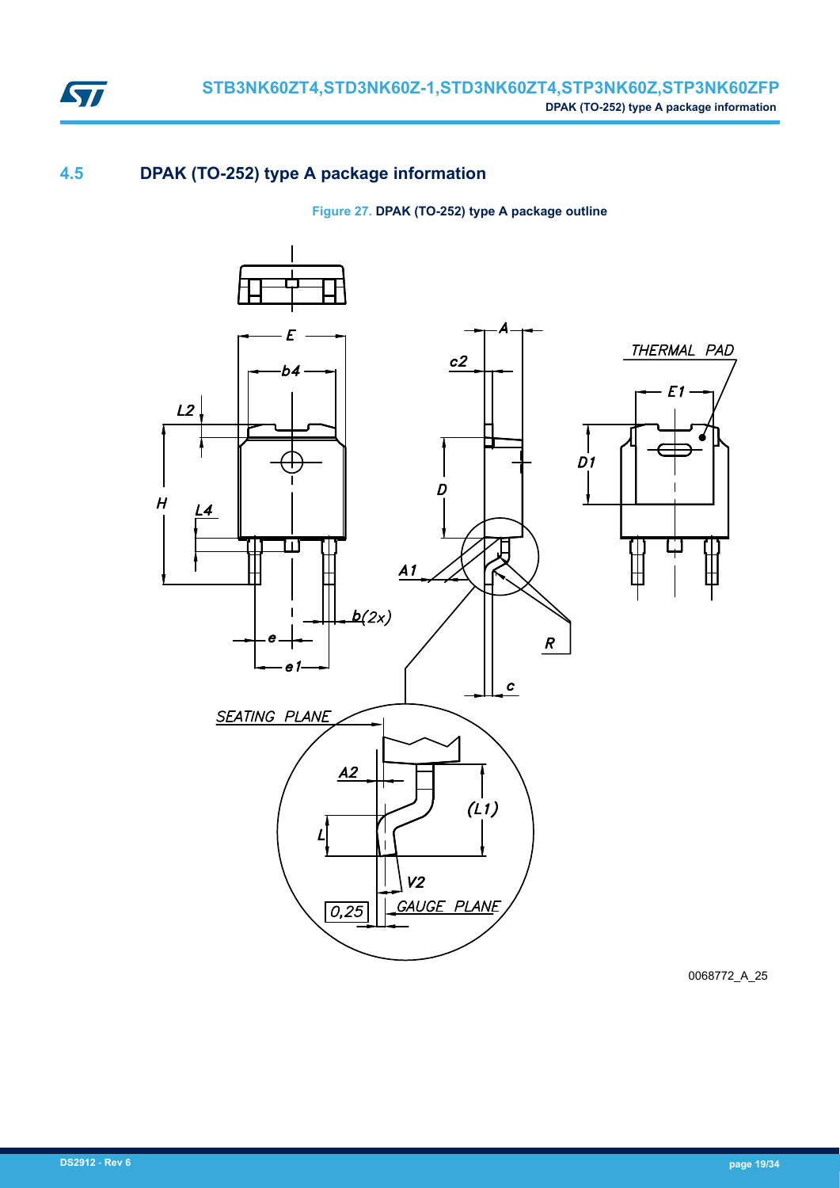

### **4.5 DPAK (TO-252) type A package information**

**Figure 27. DPAK (TO-252) type A package outline**



0068772\_A\_25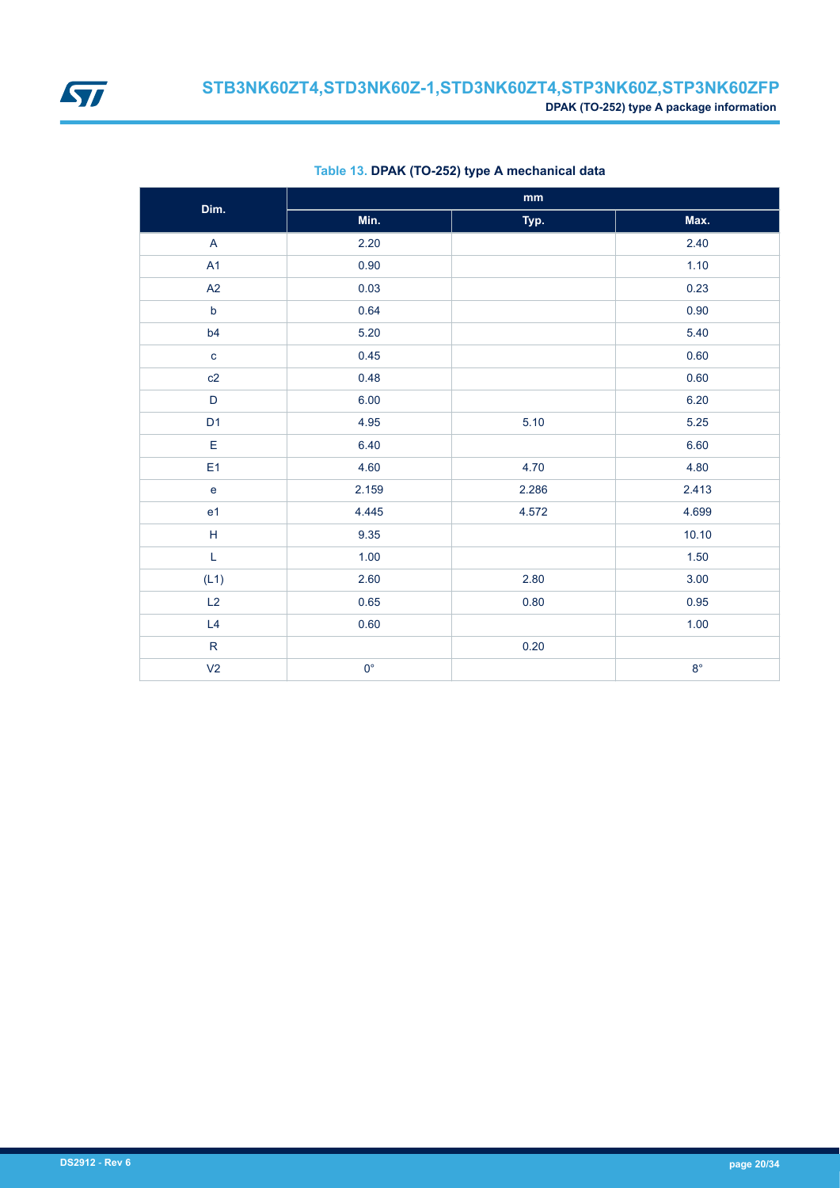<span id="page-19-0"></span>

| Dim.                                                                                                        |             | $\mathop{\text{mm}}\nolimits$ |             |
|-------------------------------------------------------------------------------------------------------------|-------------|-------------------------------|-------------|
|                                                                                                             | Min.        | Typ.                          | Max.        |
| A                                                                                                           | 2.20        |                               | 2.40        |
| A1                                                                                                          | 0.90        |                               | 1.10        |
| A2                                                                                                          | 0.03        |                               | 0.23        |
| $\mathsf b$                                                                                                 | 0.64        |                               | 0.90        |
| b4                                                                                                          | 5.20        |                               | 5.40        |
| $\mathbf c$                                                                                                 | 0.45        |                               | 0.60        |
| c2                                                                                                          | 0.48        |                               | 0.60        |
| $\mathsf{D}$                                                                                                | 6.00        |                               | 6.20        |
| D <sub>1</sub>                                                                                              | 4.95        | 5.10                          | 5.25        |
| E                                                                                                           | 6.40        |                               | 6.60        |
| E1                                                                                                          | 4.60        | 4.70                          | 4.80        |
| $\mathbf e$                                                                                                 | 2.159       | 2.286                         | 2.413       |
| e <sub>1</sub>                                                                                              | 4.445       | 4.572                         | 4.699       |
| $\mathsf H$                                                                                                 | 9.35        |                               | 10.10       |
| $\mathsf{L}% _{0}\left( \mathsf{L}_{0}\right) ^{\ast }=\mathsf{L}_{0}\left( \mathsf{L}_{0}\right) ^{\ast }$ | 1.00        |                               | $1.50$      |
| (L1)                                                                                                        | 2.60        | 2.80                          | $3.00\,$    |
| L2                                                                                                          | 0.65        | 0.80                          | 0.95        |
| L4                                                                                                          | 0.60        |                               | 1.00        |
| ${\sf R}$                                                                                                   |             | $0.20\,$                      |             |
| V <sub>2</sub>                                                                                              | $0^{\circ}$ |                               | $8^{\circ}$ |

#### **Table 13. DPAK (TO-252) type A mechanical data**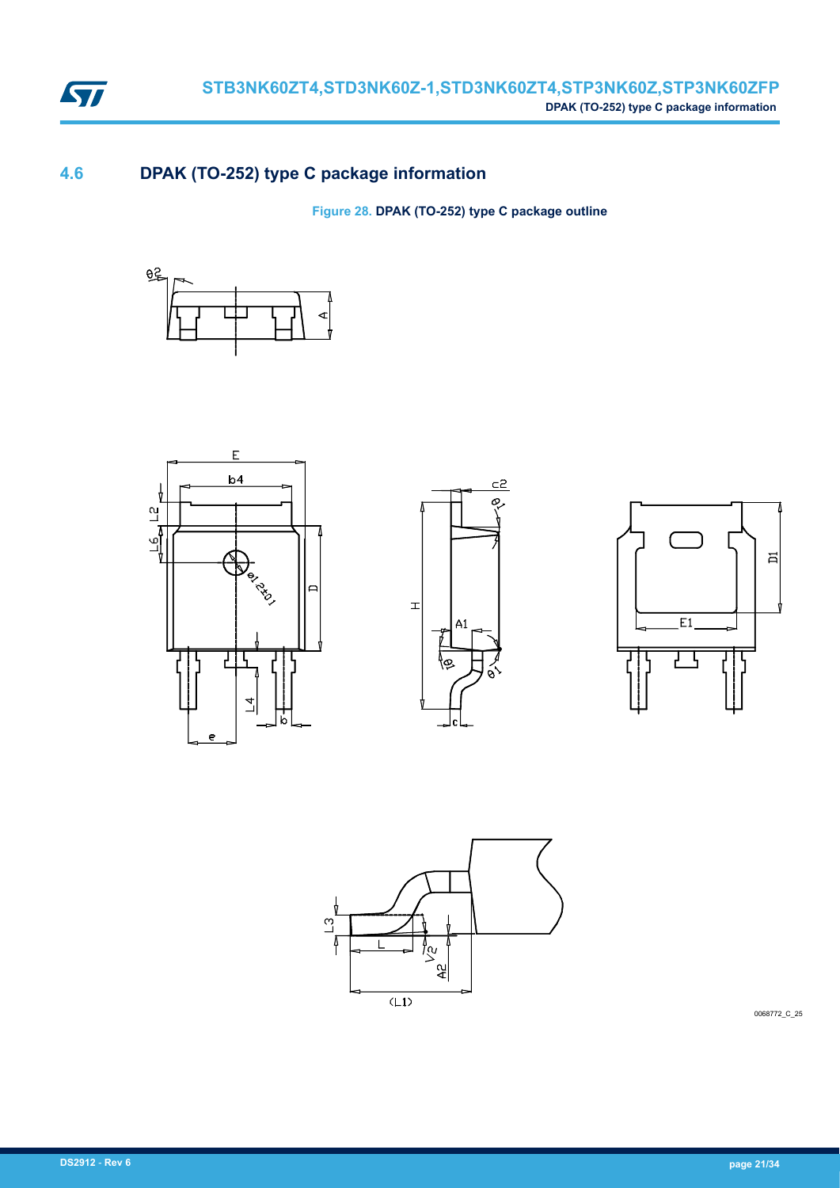

### **4.6 DPAK (TO-252) type C package information**

**Figure 28. DPAK (TO-252) type C package outline**











0068772\_C\_25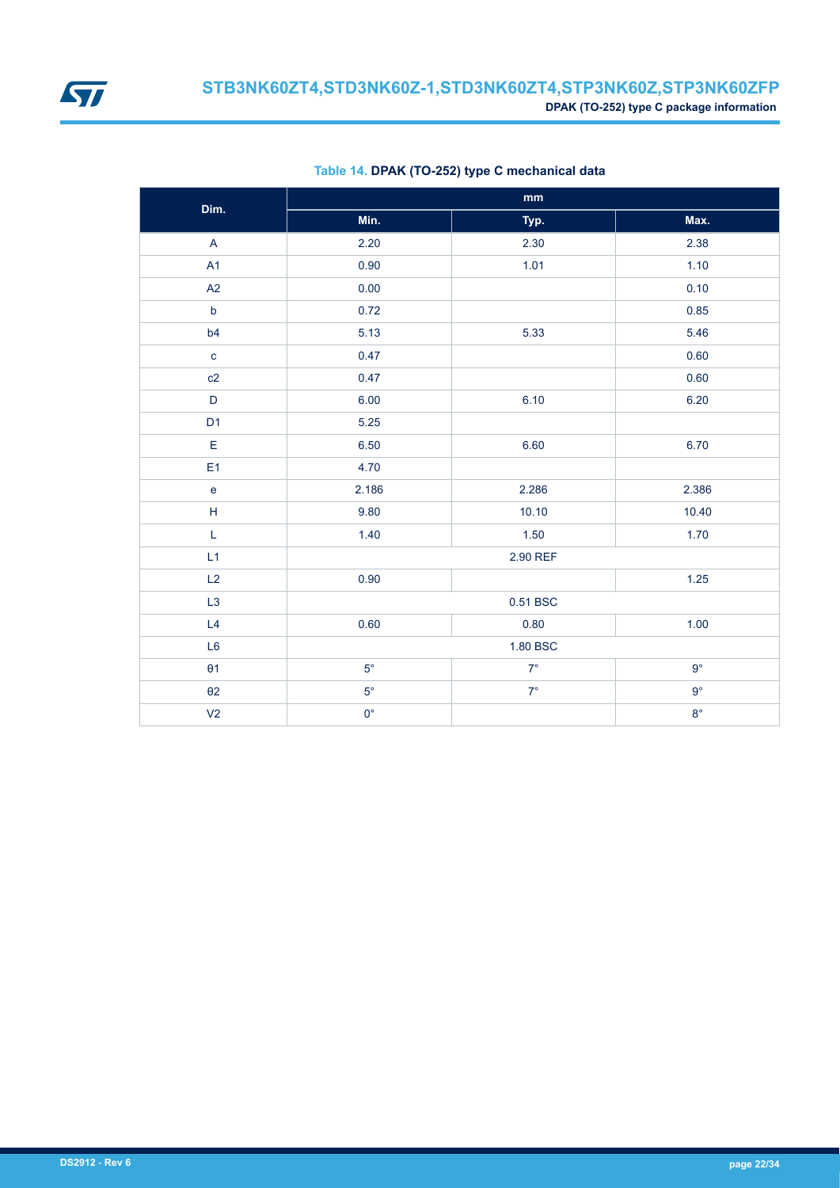<span id="page-21-0"></span>

| Dim.                                           |             | $\mathop{\text{mm}}\nolimits$ |             |  |
|------------------------------------------------|-------------|-------------------------------|-------------|--|
|                                                | Min.        | Typ.                          | Max.        |  |
| $\overline{A}$                                 | 2.20        | 2.30                          | 2.38        |  |
| A1                                             | 0.90        | 1.01                          | 1.10        |  |
| A2                                             | 0.00        |                               | 0.10        |  |
| $\mathsf b$                                    | 0.72        |                               | 0.85        |  |
| b4                                             | 5.13        | 5.33                          | 5.46        |  |
| $\mathbf{C}$                                   | 0.47        |                               | 0.60        |  |
| c2                                             | 0.47        |                               | 0.60        |  |
| $\mathsf D$                                    | 6.00        | 6.10                          | 6.20        |  |
| D <sub>1</sub>                                 | 5.25        |                               |             |  |
| E                                              | 6.50        | 6.60                          | 6.70        |  |
| E <sub>1</sub>                                 | 4.70        |                               |             |  |
| $\mathsf{e}% _{0}\left( \mathsf{e}_{0}\right)$ | 2.186       | 2.286                         | 2.386       |  |
| $\mathsf H$                                    | 9.80        | 10.10                         | 10.40       |  |
| $\mathsf L$                                    | 1.40        | 1.50                          | 1.70        |  |
| L1                                             |             | 2.90 REF                      |             |  |
| L2                                             | 0.90        |                               | $1.25$      |  |
| L <sub>3</sub>                                 |             | 0.51 BSC                      |             |  |
| L4                                             | 0.60        | 0.80                          | 1.00        |  |
| L <sub>6</sub>                                 |             | 1.80 BSC                      |             |  |
| $\theta$ 1                                     | $5^{\circ}$ | $7^\circ$                     | $9^{\circ}$ |  |
| $\theta$ 2                                     | $5^{\circ}$ | $7^{\circ}$                   | $9^{\circ}$ |  |
| V <sub>2</sub>                                 | $0^{\circ}$ |                               | $8^{\circ}$ |  |

#### **Table 14. DPAK (TO-252) type C mechanical data**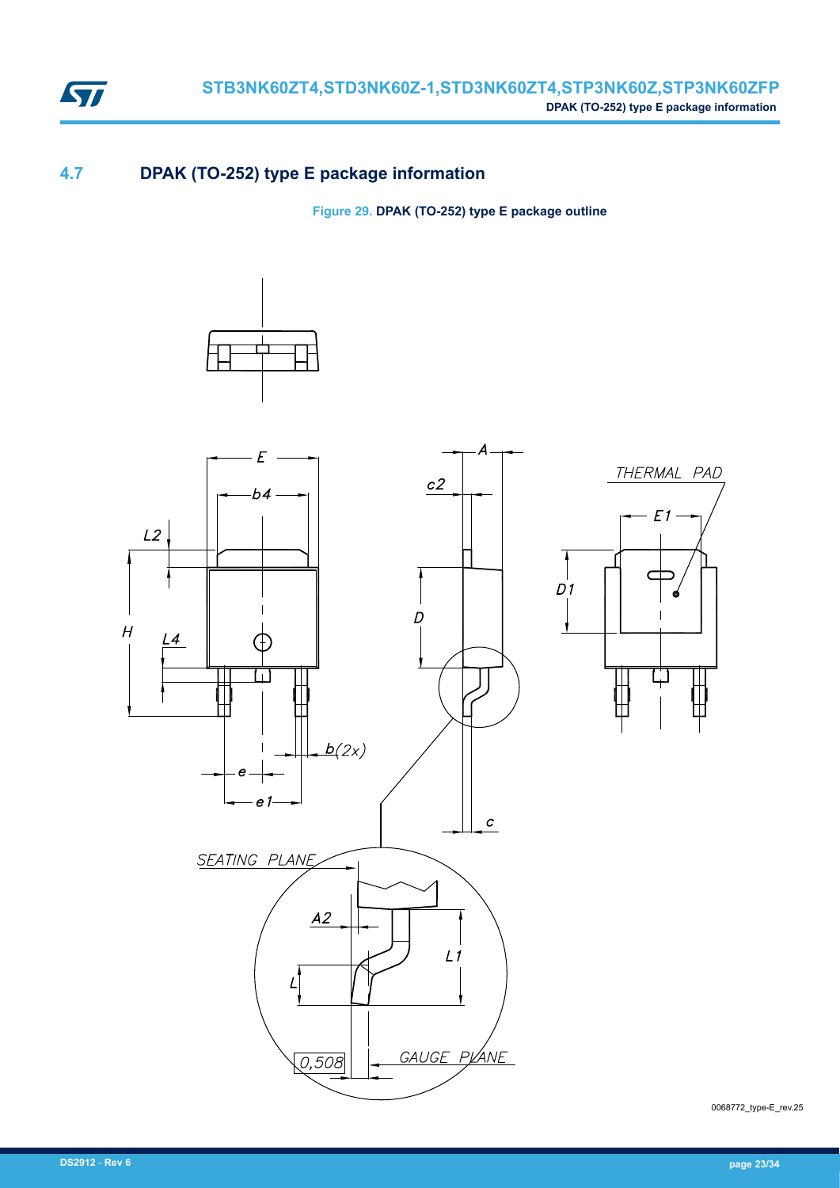

### **4.7 DPAK (TO-252) type E package information**

**Figure 29. DPAK (TO-252) type E package outline**



0068772\_type-E\_rev.25

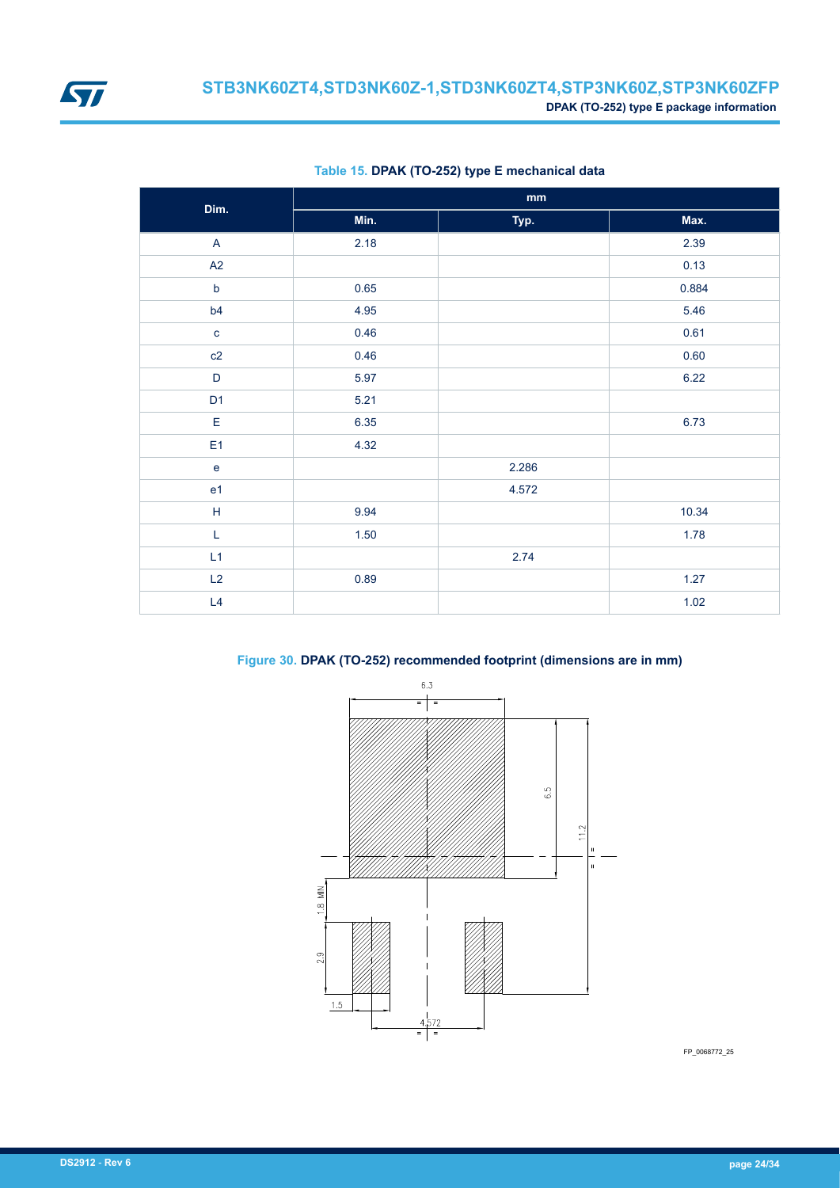<span id="page-23-0"></span>

| Dim.                                       |      | $\mathop{\bf mm}\nolimits$ |       |
|--------------------------------------------|------|----------------------------|-------|
|                                            | Min. | Typ.                       | Max.  |
| $\mathsf{A}$                               | 2.18 |                            | 2.39  |
| A2                                         |      |                            | 0.13  |
| $\mathsf b$                                | 0.65 |                            | 0.884 |
| b4                                         | 4.95 |                            | 5.46  |
| $\mathbf{c}$                               | 0.46 |                            | 0.61  |
| c2                                         | 0.46 |                            | 0.60  |
| $\mathsf D$                                | 5.97 |                            | 6.22  |
| D <sub>1</sub>                             | 5.21 |                            |       |
| E                                          | 6.35 |                            | 6.73  |
| E <sub>1</sub>                             | 4.32 |                            |       |
| $\mathsf{e}% _{0}\left( \mathsf{e}\right)$ |      | 2.286                      |       |
| e <sub>1</sub>                             |      | 4.572                      |       |
| $\boldsymbol{\mathsf{H}}$                  | 9.94 |                            | 10.34 |
| L                                          | 1.50 |                            | 1.78  |
| L1                                         |      | 2.74                       |       |
| L2                                         | 0.89 |                            | 1.27  |
| L4                                         |      |                            | 1.02  |

#### **Table 15. DPAK (TO-252) type E mechanical data**

**Figure 30. DPAK (TO-252) recommended footprint (dimensions are in mm)**



FP\_0068772\_25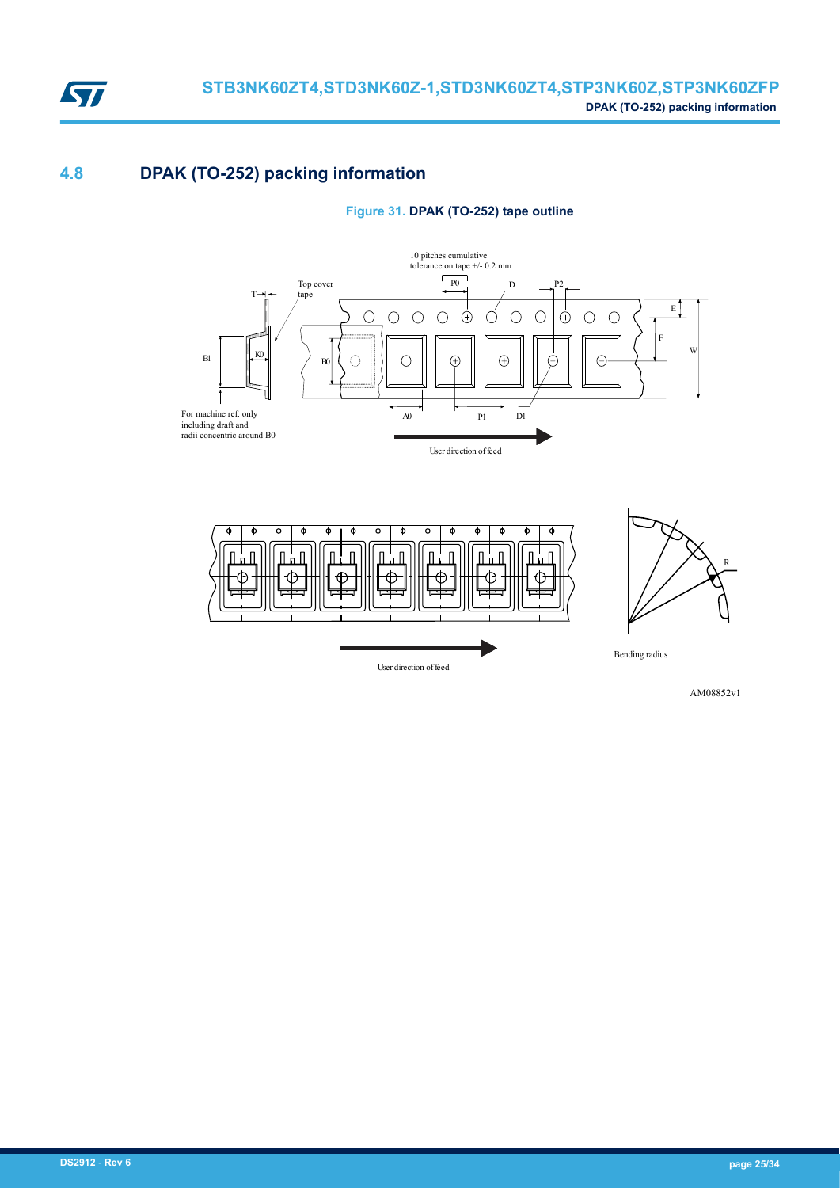

## **4.8 DPAK (TO-252) packing information**

#### **Figure 31. DPAK (TO-252) tape outline**





AM08852v1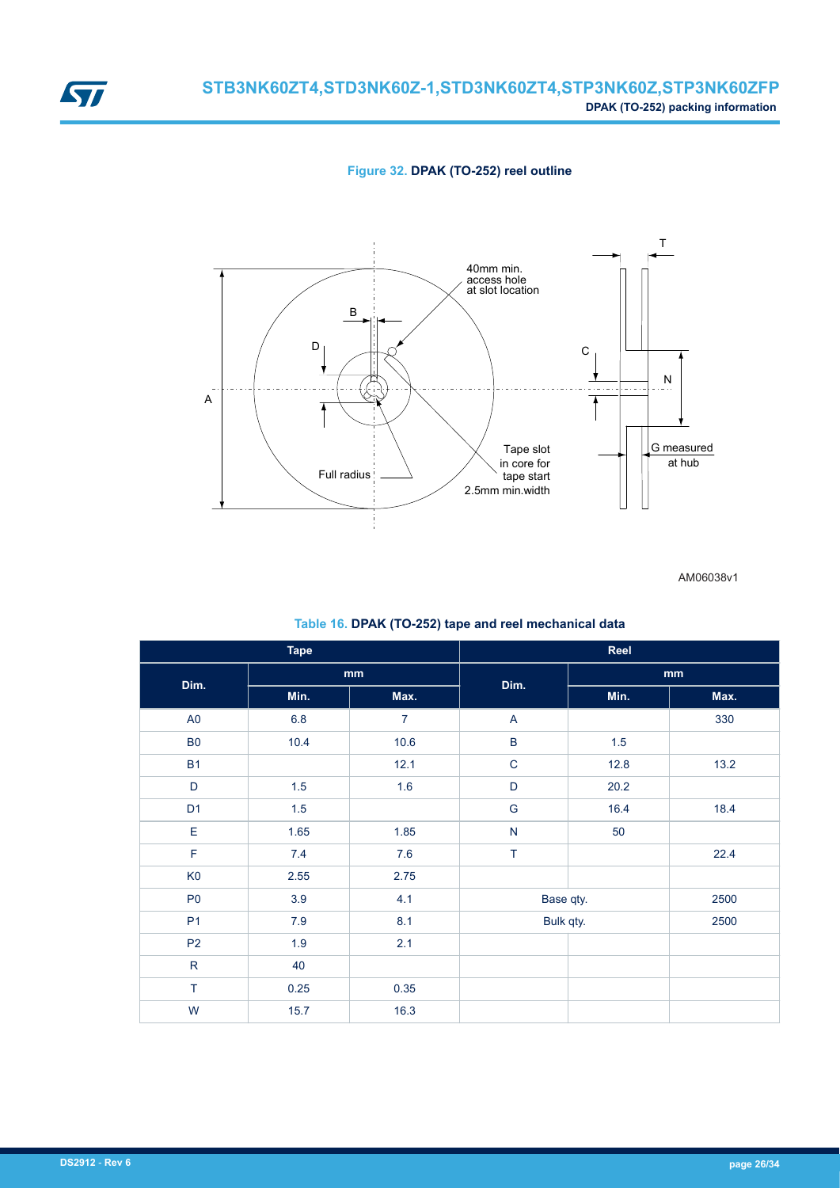

<span id="page-25-0"></span>

AM06038v1

#### **Table 16. DPAK (TO-252) tape and reel mechanical data**

| <b>Tape</b>    |         |                | Reel                      |       |      |  |
|----------------|---------|----------------|---------------------------|-------|------|--|
| Dim.           |         | mm             | Dim.                      |       | mm   |  |
|                | Min.    | Max.           |                           | Min.  | Max. |  |
| $\mathsf{A}0$  | $6.8\,$ | $\overline{7}$ | $\boldsymbol{\mathsf{A}}$ |       | 330  |  |
| <b>B0</b>      | 10.4    | 10.6           | $\sf B$                   | $1.5$ |      |  |
| <b>B1</b>      |         | 12.1           | $\mathsf C$               | 12.8  | 13.2 |  |
| D              | 1.5     | 1.6            | $\mathsf D$               | 20.2  |      |  |
| D <sub>1</sub> | 1.5     |                | ${\mathsf G}$             | 16.4  | 18.4 |  |
| $\mathsf E$    | 1.65    | 1.85           | ${\sf N}$                 | 50    |      |  |
| $\mathsf F$    | 7.4     | $7.6\,$        | $\top$                    |       | 22.4 |  |
| K <sub>0</sub> | 2.55    | 2.75           |                           |       |      |  |
| P <sub>0</sub> | 3.9     | 4.1            | Base qty.                 |       | 2500 |  |
| P <sub>1</sub> | 7.9     | 8.1            | Bulk qty.                 |       | 2500 |  |
| P <sub>2</sub> | 1.9     | 2.1            |                           |       |      |  |
| ${\sf R}$      | 40      |                |                           |       |      |  |
| $\top$         | 0.25    | 0.35           |                           |       |      |  |
| W              | 15.7    | 16.3           |                           |       |      |  |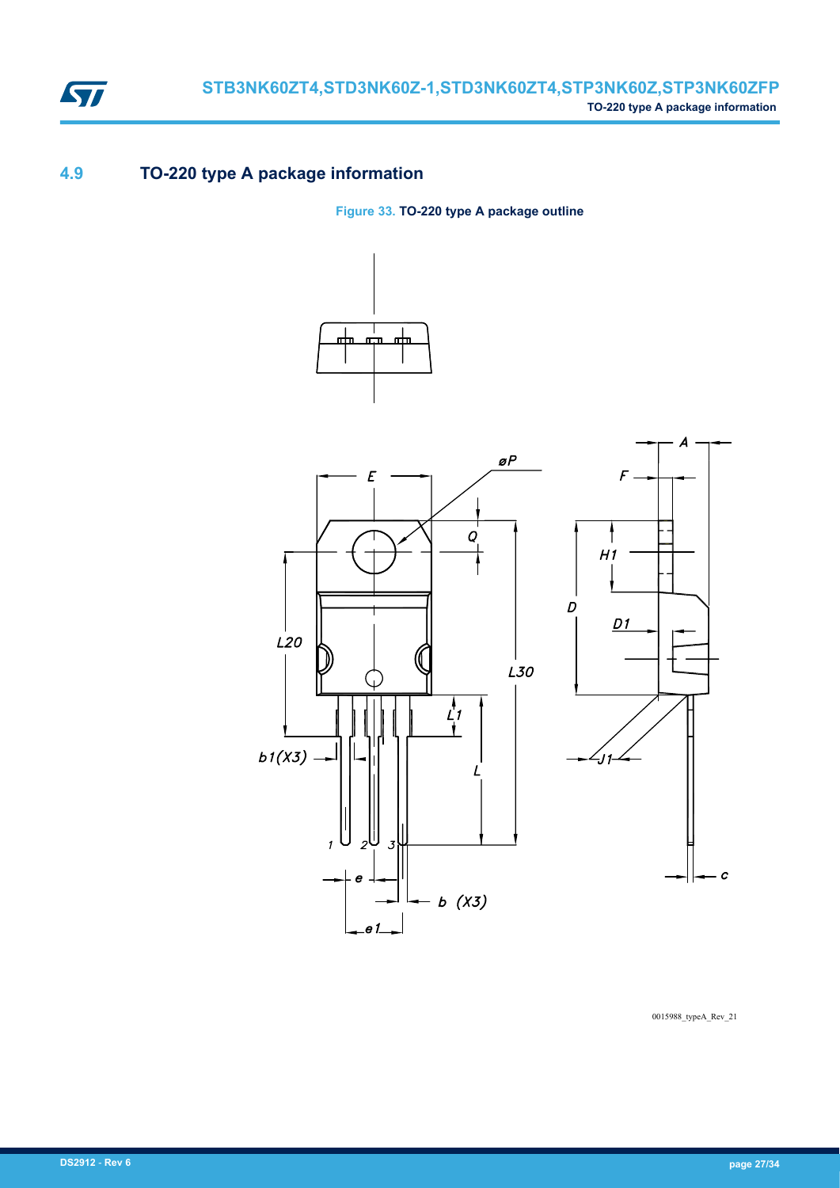

## **4.9 TO-220 type A package information**

**Figure 33. TO-220 type A package outline**





0015988\_typeA\_Rev\_21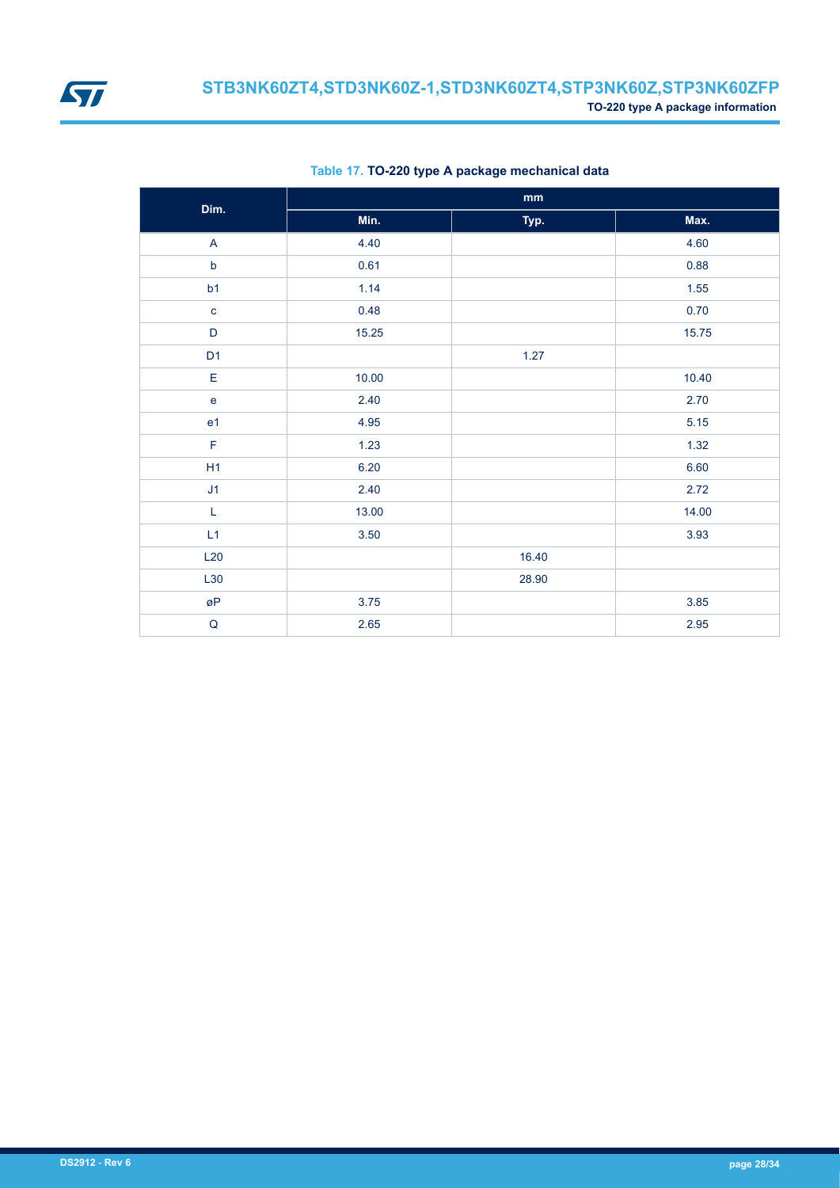<span id="page-27-0"></span>

| Dim.           |       | mm    |       |
|----------------|-------|-------|-------|
|                | Min.  | Typ.  | Max.  |
| $\mathsf{A}$   | 4.40  |       | 4.60  |
| $\mathsf b$    | 0.61  |       | 0.88  |
| b1             | 1.14  |       | 1.55  |
| $\mathbf{C}$   | 0.48  |       | 0.70  |
| D              | 15.25 |       | 15.75 |
| D <sub>1</sub> |       | 1.27  |       |
| E              | 10.00 |       | 10.40 |
| $\mathbf e$    | 2.40  |       | 2.70  |
| e <sub>1</sub> | 4.95  |       | 5.15  |
| $\mathsf F$    | 1.23  |       | 1.32  |
| H1             | 6.20  |       | 6.60  |
| J1             | 2.40  |       | 2.72  |
| $\mathsf L$    | 13.00 |       | 14.00 |
| L1             | 3.50  |       | 3.93  |
| L20            |       | 16.40 |       |
| L30            |       | 28.90 |       |
| øP             | 3.75  |       | 3.85  |
| ${\sf Q}$      | 2.65  |       | 2.95  |

#### **Table 17. TO-220 type A package mechanical data**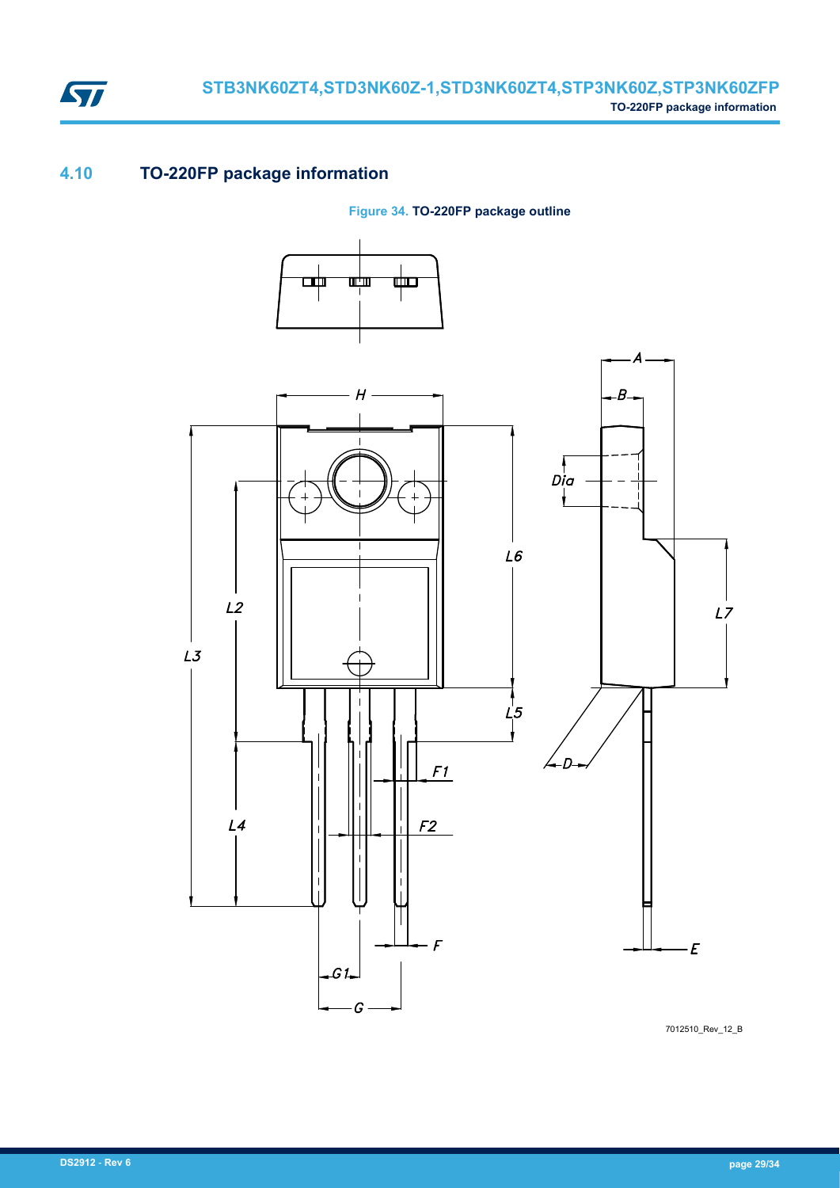

## **4.10 TO-220FP package information**

**Figure 34. TO-220FP package outline**



7012510\_Rev\_12\_B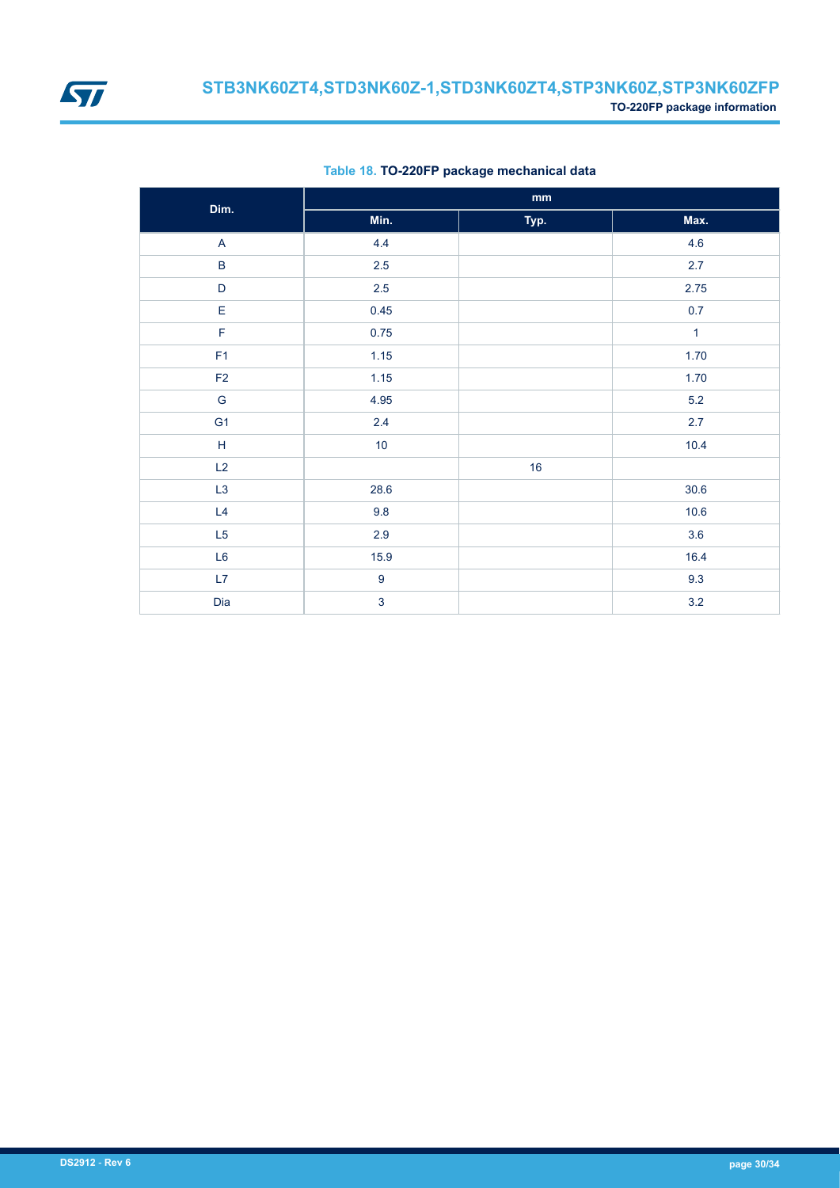

| Dim.                                                        |                  | $\mathbf{mm}$ |              |
|-------------------------------------------------------------|------------------|---------------|--------------|
|                                                             | Min.             | Typ.          | Max.         |
| $\mathsf{A}$                                                | 4.4              |               | 4.6          |
| $\sf B$                                                     | 2.5              |               | 2.7          |
| $\mathsf D$                                                 | 2.5              |               | 2.75         |
| E                                                           | 0.45             |               | 0.7          |
| F                                                           | 0.75             |               | $\mathbf{1}$ |
| F1                                                          | 1.15             |               | 1.70         |
| F2                                                          | 1.15             |               | 1.70         |
| ${\mathsf G}$                                               | 4.95             |               | $5.2\,$      |
| G <sub>1</sub>                                              | 2.4              |               | 2.7          |
| $\mathsf{H}% _{\mathbb{R}}^{1}\left( \mathbb{R}^{2}\right)$ | $10$             |               | 10.4         |
| L2                                                          |                  | 16            |              |
| L <sub>3</sub>                                              | 28.6             |               | $30.6\,$     |
| L4                                                          | 9.8              |               | 10.6         |
| L5                                                          | 2.9              |               | 3.6          |
| L6                                                          | 15.9             |               | 16.4         |
| L7                                                          | $\boldsymbol{9}$ |               | 9.3          |
| Dia                                                         | $\overline{3}$   |               | $3.2\,$      |

#### **Table 18. TO-220FP package mechanical data**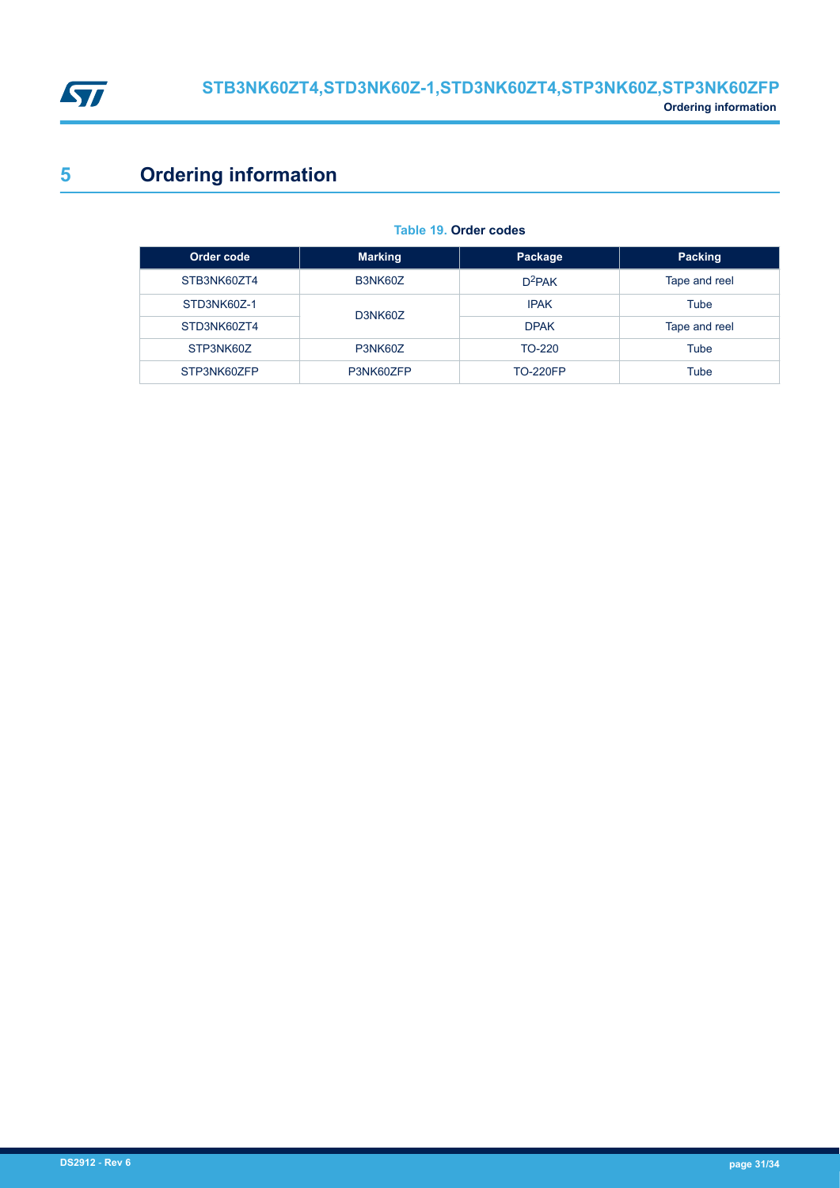<span id="page-30-0"></span>

# **5 Ordering information**

| Order code  | <b>Marking</b> | Package         | Packing       |
|-------------|----------------|-----------------|---------------|
| STB3NK60ZT4 | B3NK60Z        | $D^2PAK$        | Tape and reel |
| STD3NK60Z-1 | D3NK60Z        | <b>IPAK</b>     | Tube          |
| STD3NK60ZT4 |                | <b>DPAK</b>     | Tape and reel |
| STP3NK60Z   | P3NK60Z        | TO-220          | Tube          |
| STP3NK60ZFP | P3NK60ZFP      | <b>TO-220FP</b> | Tube          |

#### **Table 19. Order codes**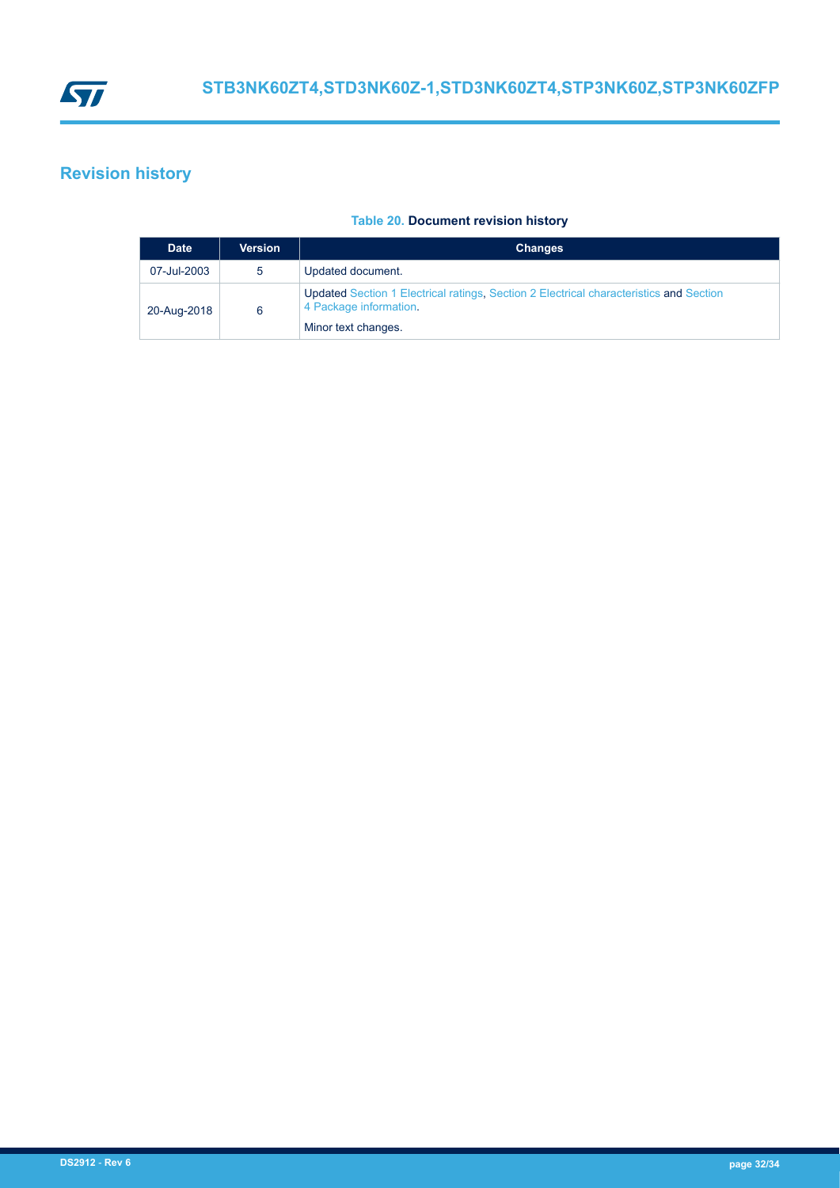<span id="page-31-0"></span>

## **Revision history**

#### **Table 20. Document revision history**

| <b>Date</b> | <b>Version</b> | <b>Changes</b>                                                                                                                          |
|-------------|----------------|-----------------------------------------------------------------------------------------------------------------------------------------|
| 07-Jul-2003 | 5              | Updated document.                                                                                                                       |
| 20-Aug-2018 | 6              | Updated Section 1 Electrical ratings, Section 2 Electrical characteristics and Section<br>4 Package information.<br>Minor text changes. |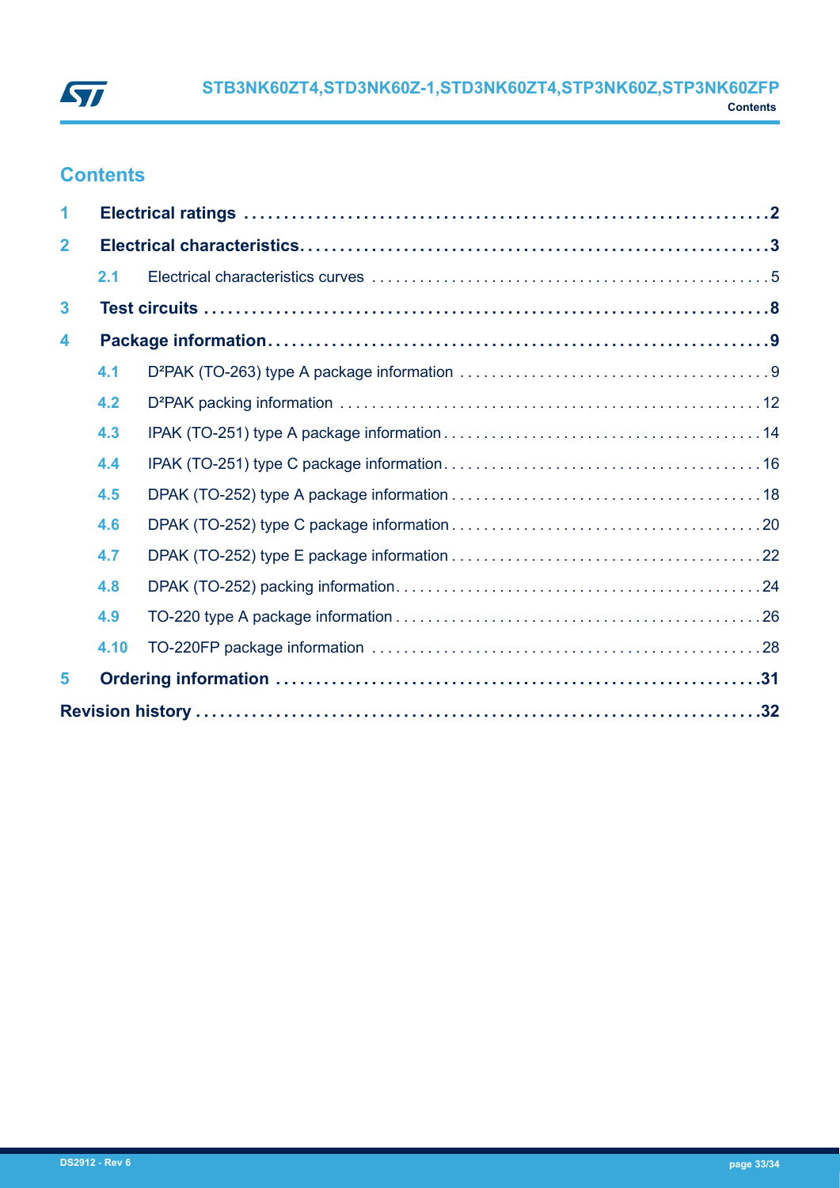

## **Contents**

| 1                       |      |  |  |  |
|-------------------------|------|--|--|--|
| $\mathbf{2}$            |      |  |  |  |
|                         | 2.1  |  |  |  |
| $\mathbf{3}$            |      |  |  |  |
| $\overline{\mathbf{4}}$ |      |  |  |  |
|                         | 4.1  |  |  |  |
|                         | 4.2  |  |  |  |
|                         | 4.3  |  |  |  |
|                         | 4.4  |  |  |  |
|                         | 4.5  |  |  |  |
|                         | 4.6  |  |  |  |
|                         | 4.7  |  |  |  |
|                         | 4.8  |  |  |  |
|                         | 4.9  |  |  |  |
|                         | 4.10 |  |  |  |
| 5                       |      |  |  |  |
|                         |      |  |  |  |